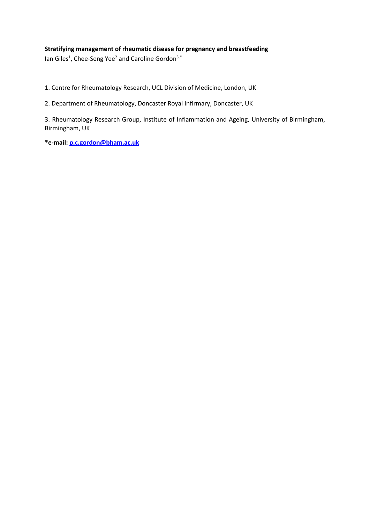# **Stratifying management of rheumatic disease for pregnancy and breastfeeding**

lan Giles<sup>1</sup>, Chee-Seng Yee<sup>2</sup> and Caroline Gordon<sup>3,\*</sup>

1. Centre for Rheumatology Research, UCL Division of Medicine, London, UK

2. Department of Rheumatology, Doncaster Royal Infirmary, Doncaster, UK

3. Rheumatology Research Group, Institute of Inflammation and Ageing, University of Birmingham, Birmingham, UK

**\*e-mail[: p.c.gordon@bham.ac.uk](mailto:p.c.gordon@bham.ac.uk)**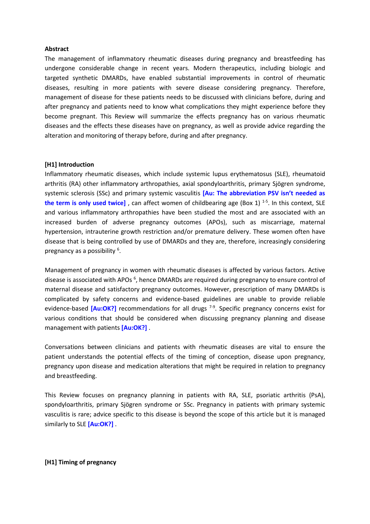### **Abstract**

The management of inflammatory rheumatic diseases during pregnancy and breastfeeding has undergone considerable change in recent years. Modern therapeutics, including biologic and targeted synthetic DMARDs, have enabled substantial improvements in control of rheumatic diseases, resulting in more patients with severe disease considering pregnancy. Therefore, management of disease for these patients needs to be discussed with clinicians before, during and after pregnancy and patients need to know what complications they might experience before they become pregnant. This Review will summarize the effects pregnancy has on various rheumatic diseases and the effects these diseases have on pregnancy, as well as provide advice regarding the alteration and monitoring of therapy before, during and after pregnancy.

### **[H1] Introduction**

Inflammatory rheumatic diseases, which include systemic lupus erythematosus (SLE), rheumatoid arthritis (RA) other inflammatory arthropathies, axial spondyloarthritis, primary Sjögren syndrome, systemic sclerosis (SSc) and primary systemic vasculitis **[Au: The abbreviation PSV isn't needed as the term is only used twice]** , can affect women of childbearing age (Box 1) 1-5 . In this context, SLE and various inflammatory arthropathies have been studied the most and are associated with an increased burden of adverse pregnancy outcomes (APOs), such as miscarriage, maternal hypertension, intrauterine growth restriction and/or premature delivery. These women often have disease that is being controlled by use of DMARDs and they are, therefore, increasingly considering pregnancy as a possibility <sup>6</sup>.

Management of pregnancy in women with rheumatic diseases is affected by various factors. Active disease is associated with APOs<sup>6</sup>, hence DMARDs are required during pregnancy to ensure control of maternal disease and satisfactory pregnancy outcomes. However, prescription of many DMARDs is complicated by safety concerns and evidence-based guidelines are unable to provide reliable evidence-based [Au:OK?] recommendations for all drugs<sup>7-9</sup>. Specific pregnancy concerns exist for various conditions that should be considered when discussing pregnancy planning and disease management with patients **[Au:OK?]** .

Conversations between clinicians and patients with rheumatic diseases are vital to ensure the patient understands the potential effects of the timing of conception, disease upon pregnancy, pregnancy upon disease and medication alterations that might be required in relation to pregnancy and breastfeeding.

This Review focuses on pregnancy planning in patients with RA, SLE, psoriatic arthritis (PsA), spondyloarthritis, primary Sjögren syndrome or SSc. Pregnancy in patients with primary systemic vasculitis is rare; advice specific to this disease is beyond the scope of this article but it is managed similarly to SLE **[Au:OK?]** .

## **[H1] Timing of pregnancy**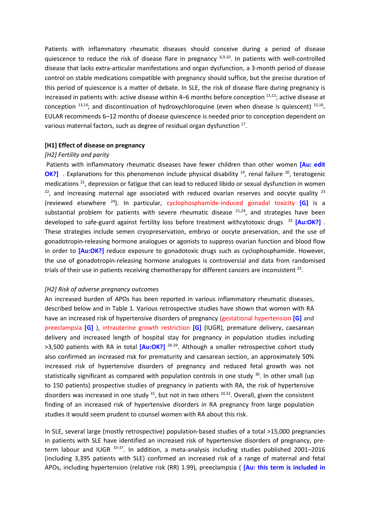Patients with inflammatory rheumatic diseases should conceive during a period of disease quiescence to reduce the risk of disease flare in pregnancy  $6,9,10$ . In patients with well-controlled disease that lacks extra-articular manifestations and organ dysfunction, a 3-month period of disease control on stable medications compatible with pregnancy should suffice, but the precise duration of this period of quiescence is a matter of debate. In SLE, the risk of disease flare during pregnancy is increased in patients with: active disease within 4–6 months before conception  $11,12$ ; active disease at conception <sup>13,14</sup>; and discontinuation of hydroxychloroquine (even when disease is quiescent) <sup>15,16</sup>. EULAR recommends 6–12 months of disease quiescence is needed prior to conception dependent on various maternal factors, such as degree of residual organ dysfunction  $^{17}$ .

### **[H1] Effect of disease on pregnancy**

### *[H2] Fertility and parity*

Patients with inflammatory rheumatic diseases have fewer children than other women **[Au: edit**  OK?] . Explanations for this phenomenon include physical disability <sup>19</sup>, renal failure <sup>20</sup>, teratogenic medications <sup>21</sup>, depression or fatigue that can lead to reduced libido or sexual dysfunction in women  $22$ , and increasing maternal age associated with reduced ovarian reserves and oocyte quality  $23$ (reviewed elsewhere <sup>24</sup>). In particular, cyclophosphamide-induced gonadal toxicity **[G]** is a substantial problem for patients with severe rheumatic disease  $21,24$ , and strategies have been developed to safe-guard against fertility loss before treatment withcytotoxic drugs <sup>25</sup> **[Au:OK?]** . These strategies include semen cryopreservation, embryo or oocyte preservation, and the use of gonadotropin-releasing hormone analogues or agonists to suppress ovarian function and blood flow in order to [Au:OK?] reduce exposure to gonadotoxic drugs such as cyclophosphamide. However, the use of gonadotropin-releasing hormone analogues is controversial and data from randomised trials of their use in patients receiving chemotherapy for different cancers are inconsistent <sup>25</sup>.

### *[H2] Risk of adverse pregnancy outcomes*

An increased burden of APOs has been reported in various inflammatory rheumatic diseases, described below and in Table 1. Various retrospective studies have shown that women with RA have an increased risk of hypertensive disorders of pregnancy (gestational hypertension **[G]** and preeclampsia **[G]** ), intrauterine growth restriction **[G]** (IUGR), premature delivery, caesarean delivery and increased length of hospital stay for pregnancy in population studies including >3,500 patients with RA in total [Au:OK?]<sup>26-29</sup>. Although a smaller retrospective cohort study also confirmed an increased risk for prematurity and caesarean section, an approximately 50% increased risk of hypertensive disorders of pregnancy and reduced fetal growth was not statistically significant as compared with population controls in one study <sup>30</sup>. In other small (up to 150 patients) prospective studies of pregnancy in patients with RA, the risk of hypertensive disorders was increased in one study  $31$ , but not in two others  $10,32$ . Overall, given the consistent finding of an increased risk of hypertensive disorders in RA pregnancy from large population studies it would seem prudent to counsel women with RA about this risk.

In SLE, several large (mostly retrospective) population-based studies of a total >15,000 pregnancies in patients with SLE have identified an increased risk of hypertensive disorders of pregnancy, preterm labour and IUGR 33-37. In addition, a meta-analysis including studies published 2001-2016 (including 3,395 patients with SLE) confirmed an increased risk of a range of maternal and fetal APOs, including hypertension (relative risk (RR) 1.99), preeclampsia ( **[Au: this term is included in**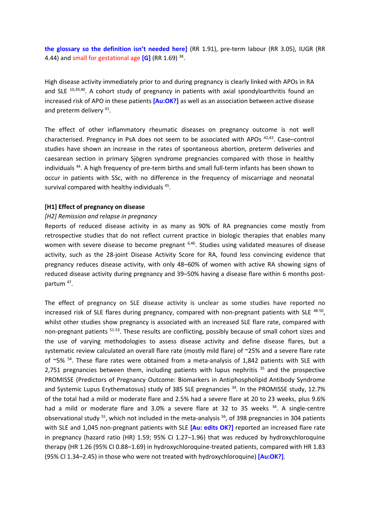**the glossary so the definition isn't needed here]** (RR 1.91), pre-term labour (RR 3.05), IUGR (RR 4.44) and small for gestational age **[G]** (RR 1.69) <sup>38</sup> .

High disease activity immediately prior to and during pregnancy is clearly linked with APOs in RA and SLE <sup>10,39,40</sup>. A cohort study of pregnancy in patients with axial spondyloarthritis found an increased risk of APO in these patients **[Au:OK?]** as well as an association between active disease and preterm delivery<sup>41</sup>.

The effect of other inflammatory rheumatic diseases on pregnancy outcome is not well characterised. Pregnancy in PsA does not seem to be associated with APOs <sup>42,43</sup>. Case-control studies have shown an increase in the rates of spontaneous abortion, preterm deliveries and caesarean section in primary Sjögren syndrome pregnancies compared with those in healthy individuals<sup>44</sup>. A high frequency of pre-term births and small full-term infants has been shown to occur in patients with SSc, with no difference in the frequency of miscarriage and neonatal survival compared with healthy individuals<sup>45</sup>.

#### **[H1] Effect of pregnancy on disease**

#### *[H2] Remission and relapse in pregnancy*

Reports of reduced disease activity in as many as 90% of RA pregnancies come mostly from retrospective studies that do not reflect current practice in biologic therapies that enables many women with severe disease to become pregnant <sup>6,46</sup>. Studies using validated measures of disease activity, such as the 28-joint Disease Activity Score for RA, found less convincing evidence that pregnancy reduces disease activity, with only 48–60% of women with active RA showing signs of reduced disease activity during pregnancy and 39–50% having a disease flare within 6 months postpartum<sup>47</sup>.

The effect of pregnancy on SLE disease activity is unclear as some studies have reported no increased risk of SLE flares during pregnancy, compared with non-pregnant patients with SLE 48-50, whilst other studies show pregnancy is associated with an increased SLE flare rate, compared with non-pregnant patients <sup>51-53</sup>. These results are conflicting, possibly because of small cohort sizes and the use of varying methodologies to assess disease activity and define disease flares, but a systematic review calculated an overall flare rate (mostly mild flare) of ~25% and a severe flare rate of  $\sim$ 5%  $^{54}$ . These flare rates were obtained from a meta-analysis of 1,842 patients with SLE with 2,751 pregnancies between them, including patients with lupus nephritis  $35$  and the prospective PROMISSE (Predictors of Pregnancy Outcome: Biomarkers in Antiphospholipid Antibody Syndrome and Systemic Lupus Erythematosus) study of 385 SLE pregnancies <sup>34</sup>. In the PROMISSE study, 12.7% of the total had a mild or moderate flare and 2.5% had a severe flare at 20 to 23 weeks, plus 9.6% had a mild or moderate flare and 3.0% a severe flare at 32 to 35 weeks <sup>34</sup>. A single-centre observational study <sup>55</sup>, which not included in the meta-analysis <sup>56</sup>, of 398 pregnancies in 304 patients with SLE and 1,045 non-pregnant patients with SLE **[Au: edits OK?]** reported an increased flare rate in pregnancy (hazard ratio (HR) 1.59; 95% CI 1.27–1.96) that was reduced by hydroxychloroquine therapy (HR 1.26 (95% CI 0.88–1.69) in hydroxychloroquine-treated patients, compared with HR 1.83 (95% CI 1.34–2.45) in those who were not treated with hydroxychloroquine) **[Au:OK?]**.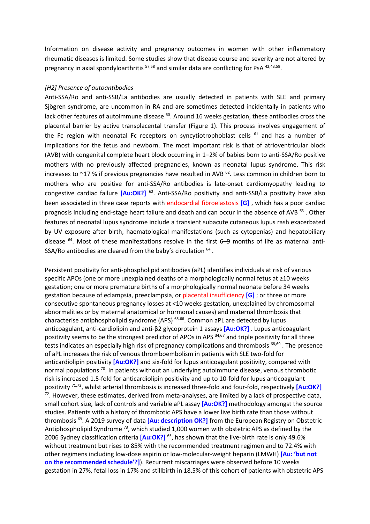Information on disease activity and pregnancy outcomes in women with other inflammatory rheumatic diseases is limited. Some studies show that disease course and severity are not altered by pregnancy in axial spondyloarthritis <sup>57,58</sup> and similar data are conflicting for PsA <sup>42,43,59</sup>.

### *[H2] Presence of autoantibodies*

Anti-SSA/Ro and anti-SSB/La antibodies are usually detected in patients with SLE and primary Sjögren syndrome, are uncommon in RA and are sometimes detected incidentally in patients who lack other features of autoimmune disease <sup>60</sup>. Around 16 weeks gestation, these antibodies cross the placental barrier by active transplacental transfer (Figure 1). This process involves engagement of the Fc region with neonatal Fc receptors on syncytiotrophoblast cells  $61$  and has a number of implications for the fetus and newborn. The most important risk is that of atrioventricular block (AVB) with congenital complete heart block occurring in 1–2% of babies born to anti-SSA/Ro positive mothers with no previously affected pregnancies, known as neonatal lupus syndrome. This risk increases to  $\sim$ 17 % if previous pregnancies have resulted in AVB  $^{62}$ . Less common in children born to mothers who are positive for anti-SSA/Ro antibodies is late-onset cardiomyopathy leading to congestive cardiac failure **[Au:OK?]** <sup>62</sup>. Anti-SSA/Ro positivity and anti-SSB/La positivity have also been associated in three case reports with endocardial fibroelastosis **[G]** , which has a poor cardiac prognosis including end-stage heart failure and death and can occur in the absence of AVB<sup>63</sup>. Other features of neonatal lupus syndrome include a transient subacute cutaneous lupus rash exacerbated by UV exposure after birth, haematological manifestations (such as cytopenias) and hepatobiliary disease <sup>64</sup>. Most of these manifestations resolve in the first 6–9 months of life as maternal anti-SSA/Ro antibodies are cleared from the baby's circulation  $^{64}$ .

Persistent positivity for anti-phospholipid antibodies (aPL) identifies individuals at risk of various specific APOs (one or more unexplained deaths of a morphologically normal fetus at ≥10 weeks gestation; one or more premature births of a morphologically normal neonate before 34 weeks gestation because of eclampsia, preeclampsia, or placental insufficiency **[G]** ; or three or more consecutive spontaneous pregnancy losses at <10 weeks gestation, unexplained by chromosomal abnormalities or by maternal anatomical or hormonal causes) and maternal thrombosis that characterise antiphospholipid syndrome (APS)<sup>65,66</sup>. Common aPL are detected by lupus anticoagulant, anti-cardiolipin and anti-β2 glycoprotein 1 assays **[Au:OK?]** . Lupus anticoagulant positivity seems to be the strongest predictor of APOs in APS 34,67 and triple positivity for all three tests indicates an especially high risk of pregnancy complications and thrombosis <sup>68,69</sup>. The presence of aPL increases the risk of venous thromboembolism in patients with SLE two-fold for anticardiolipin positivity **[Au:OK?]** and six-fold for lupus anticoagulant positivity, compared with normal populations <sup>70</sup>. In patients without an underlying autoimmune disease, venous thrombotic risk is increased 1.5-fold for anticardiolipin positivity and up to 10-fold for lupus anticoagulant positivity 71,72, whilst arterial thrombosis is increased three-fold and four-fold, respectively **[Au:OK?]**  $72$ . However, these estimates, derived from meta-analyses, are limited by a lack of prospective data, small cohort size, lack of controls and variable aPL assay **[Au:OK?]** methodology amongst the source studies. Patients with a history of thrombotic APS have a lower live birth rate than those without thrombosis <sup>69</sup> . A 2019 survey of data **[Au: description OK?]** from the European Registry on Obstetric Antiphospholipid Syndrome<sup>73</sup>, which studied 1,000 women with obstetric APS as defined by the 2006 Sydney classification criteria **[Au:OK?]** <sup>65</sup> , has shown that the live-birth rate is only 49.6% without treatment but rises to 85% with the recommended treatment regimen and to 72.4% with other regimens including low-dose aspirin or low-molecular-weight heparin (LMWH) **[Au: 'but not on the recommended schedule'?]**). Recurrent miscarriages were observed before 10 weeks gestation in 27%, fetal loss in 17% and stillbirth in 18.5% of this cohort of patients with obstetric APS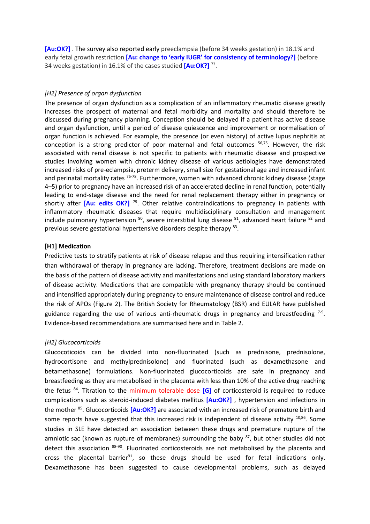**[Au:OK?]** . The survey also reported early preeclampsia (before 34 weeks gestation) in 18.1% and early fetal growth restriction **[Au: change to 'early IUGR' for consistency of terminology?]** (before 34 weeks gestation) in 16.1% of the cases studied **[Au:OK?]** <sup>73</sup> .

### *[H2] Presence of organ dysfunction*

The presence of organ dysfunction as a complication of an inflammatory rheumatic disease greatly increases the prospect of maternal and fetal morbidity and mortality and should therefore be discussed during pregnancy planning. Conception should be delayed if a patient has active disease and organ dysfunction, until a period of disease quiescence and improvement or normalisation of organ function is achieved. For example, the presence (or even history) of active lupus nephritis at conception is a strong predictor of poor maternal and fetal outcomes <sup>56,75</sup>. However, the risk associated with renal disease is not specific to patients with rheumatic disease and prospective studies involving women with chronic kidney disease of various aetiologies have demonstrated increased risks of pre-eclampsia, preterm delivery, small size for gestational age and increased infant and perinatal mortality rates <sup>76-78</sup>. Furthermore, women with advanced chronic kidney disease (stage 4–5) prior to pregnancy have an increased risk of an accelerated decline in renal function, potentially leading to end-stage disease and the need for renal replacement therapy either in pregnancy or shortly after [Au: edits OK?]<sup>79</sup>. Other relative contraindications to pregnancy in patients with inflammatory rheumatic diseases that require multidisciplinary consultation and management include pulmonary hypertension  $^{80}$ , severe interstitial lung disease  $^{81}$ , advanced heart failure  $^{82}$  and previous severe gestational hypertensive disorders despite therapy 83.

### **[H1] Medication**

Predictive tests to stratify patients at risk of disease relapse and thus requiring intensification rather than withdrawal of therapy in pregnancy are lacking. Therefore, treatment decisions are made on the basis of the pattern of disease activity and manifestations and using standard laboratory markers of disease activity. Medications that are compatible with pregnancy therapy should be continued and intensified appropriately during pregnancy to ensure maintenance of disease control and reduce the risk of APOs (Figure 2). The British Society for Rheumatology (BSR) and EULAR have published guidance regarding the use of various anti-rheumatic drugs in pregnancy and breastfeeding  $7-9$ . Evidence-based recommendations are summarised here and in Table 2.

### *[H2] Glucocorticoids*

Glucocoticoids can be divided into non-fluorinated (such as prednisone, prednisolone, hydrocortisone and methylprednisolone) and fluorinated (such as dexamethasone and betamethasone) formulations. Non-fluorinated glucocorticoids are safe in pregnancy and breastfeeding as they are metabolised in the placenta with less than 10% of the active drug reaching the fetus <sup>84</sup> . Titration to the minimum tolerable dose **[G]** of corticosteroid is required to reduce complications such as steroid-induced diabetes mellitus **[Au:OK?]** , hypertension and infections in the mother <sup>85</sup> . Glucocorticoids **[Au:OK?]** are associated with an increased risk of premature birth and some reports have suggested that this increased risk is independent of disease activity  $10,86$ . Some studies in SLE have detected an association between these drugs and premature rupture of the amniotic sac (known as rupture of membranes) surrounding the baby <sup>87</sup>, but other studies did not detect this association <sup>88-90</sup>. Fluorinated corticosteroids are not metabolised by the placenta and cross the placental barrier $91$ , so these drugs should be used for fetal indications only. Dexamethasone has been suggested to cause developmental problems, such as delayed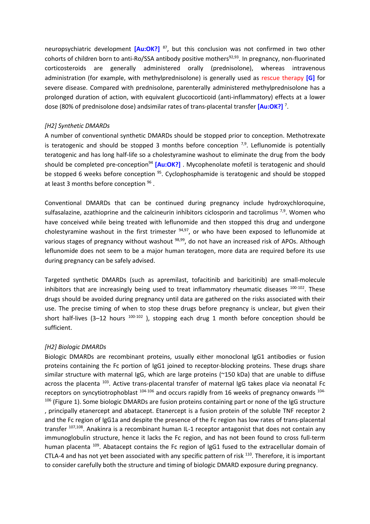neuropsychiatric development **[Au:OK?]** <sup>87</sup> , but this conclusion was not confirmed in two other cohorts of children born to anti-Ro/SSA antibody positive mothers<sup>92,93</sup>. In pregnancy, non-fluorinated corticosteroids are generally administered orally (prednisolone), whereas intravenous administration (for example, with methylprednisolone) is generally used as rescue therapy **[G]** for severe disease. Compared with prednisolone, parenterally administered methylprednisolone has a prolonged duration of action, with equivalent glucocorticoid (anti-inflammatory) effects at a lower dose (80% of prednisolone dose) andsimilar rates of trans-placental transfer **[Au:OK?]** <sup>7</sup> .

### *[H2] Synthetic DMARDs*

A number of conventional synthetic DMARDs should be stopped prior to conception. Methotrexate is teratogenic and should be stopped 3 months before conception  $7,9$ . Leflunomide is potentially teratogenic and has long half-life so a cholestyramine washout to eliminate the drug from the body should be completed pre-conception<sup>94</sup> **[Au:OK?]** . Mycophenolate mofetil is teratogenic and should be stopped 6 weeks before conception <sup>95</sup>. Cyclophosphamide is teratogenic and should be stopped at least 3 months before conception <sup>96</sup>.

Conventional DMARDs that can be continued during pregnancy include hydroxychloroquine, sulfasalazine, azathioprine and the calcineurin inhibitors ciclosporin and tacrolimus  $^{7,9}$ . Women who have conceived while being treated with leflunomide and then stopped this drug and undergone cholestyramine washout in the first trimester <sup>94,97</sup>, or who have been exposed to leflunomide at various stages of pregnancy without washout  $^{98,99}$ , do not have an increased risk of APOs. Although leflunomide does not seem to be a major human teratogen, more data are required before its use during pregnancy can be safely advised.

Targeted synthetic DMARDs (such as apremilast, tofacitinib and baricitinib) are small-molecule inhibitors that are increasingly being used to treat inflammatory rheumatic diseases <sup>100-102</sup>. These drugs should be avoided during pregnancy until data are gathered on the risks associated with their use. The precise timing of when to stop these drugs before pregnancy is unclear, but given their short half-lives (3-12 hours  $100-102$  ), stopping each drug 1 month before conception should be sufficient.

### *[H2] Biologic DMARDs*

Biologic DMARDs are recombinant proteins, usually either monoclonal IgG1 antibodies or fusion proteins containing the Fc portion of IgG1 joined to receptor-blocking proteins. These drugs share similar structure with maternal IgG, which are large proteins (~150 kDa) that are unable to diffuse across the placenta <sup>103</sup>. Active trans-placental transfer of maternal IgG takes place via neonatal Fc receptors on syncytiotrophoblast  $104-106$  and occurs rapidly from 16 weeks of pregnancy onwards  $104-$ <sup>106</sup> (Figure 1). Some biologic DMARDs are fusion proteins containing part or none of the IgG structure , principally etanercept and abatacept. Etanercept is a fusion protein of the soluble TNF receptor 2 and the Fc region of IgG1a and despite the presence of the Fc region has low rates of trans-placental transfer <sup>107,108</sup>. Anakinra is a recombinant human IL-1 receptor antagonist that does not contain any immunoglobulin structure, hence it lacks the Fc region, and has not been found to cross full-term human placenta <sup>109</sup>. Abatacept contains the Fc region of IgG1 fused to the extracellular domain of CTLA-4 and has not yet been associated with any specific pattern of risk <sup>110</sup>. Therefore, it is important to consider carefully both the structure and timing of biologic DMARD exposure during pregnancy.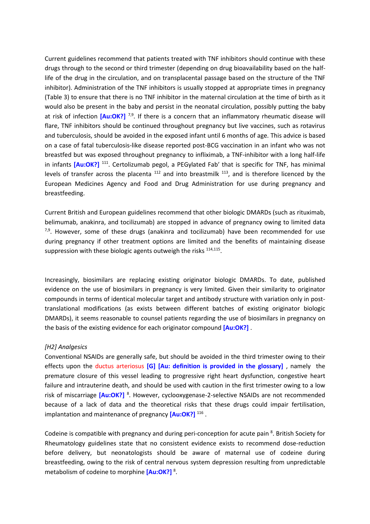Current guidelines recommend that patients treated with TNF inhibitors should continue with these drugs through to the second or third trimester (depending on drug bioavailability based on the halflife of the drug in the circulation, and on transplacental passage based on the structure of the TNF inhibitor). Administration of the TNF inhibitors is usually stopped at appropriate times in pregnancy (Table 3) to ensure that there is no TNF inhibitor in the maternal circulation at the time of birth as it would also be present in the baby and persist in the neonatal circulation, possibly putting the baby at risk of infection [Au:OK?]<sup>7,9</sup>. If there is a concern that an inflammatory rheumatic disease will flare, TNF inhibitors should be continued throughout pregnancy but live vaccines, such as rotavirus and tuberculosis, should be avoided in the exposed infant until 6 months of age. This advice is based on a case of fatal tuberculosis-like disease reported post-BCG vaccination in an infant who was not breastfed but was exposed throughout pregnancy to infliximab, a TNF-inhibitor with a long half-life in infants [Au:OK?]<sup>111</sup>. Certolizumab pegol, a PEGylated Fab' that is specific for TNF, has minimal levels of transfer across the placenta  $112$  and into breastmilk  $113$ , and is therefore licenced by the European Medicines Agency and Food and Drug Administration for use during pregnancy and breastfeeding.

Current British and European guidelines recommend that other biologic DMARDs (such as rituximab, belimumab, anakinra, and tocilizumab) are stopped in advance of pregnancy owing to limited data 7,9. However, some of these drugs (anakinra and tocilizumab) have been recommended for use during pregnancy if other treatment options are limited and the benefits of maintaining disease suppression with these biologic agents outweigh the risks <sup>114,115</sup>.

Increasingly, biosimilars are replacing existing originator biologic DMARDs. To date, published evidence on the use of biosimilars in pregnancy is very limited. Given their similarity to originator compounds in terms of identical molecular target and antibody structure with variation only in posttranslational modifications (as exists between different batches of existing originator biologic DMARDs), it seems reasonable to counsel patients regarding the use of biosimilars in pregnancy on the basis of the existing evidence for each originator compound **[Au:OK?]** .

### *[H2] Analgesics*

Conventional NSAIDs are generally safe, but should be avoided in the third trimester owing to their effects upon the ductus arteriosus **[G] [Au: definition is provided in the glossary]** , namely the premature closure of this vessel leading to progressive right heart dysfunction, congestive heart failure and intrauterine death, and should be used with caution in the first trimester owing to a low risk of miscarriage [Au:OK?]<sup>8</sup>. However, cyclooxygenase-2-selective NSAIDs are not recommended because of a lack of data and the theoretical risks that these drugs could impair fertilisation, implantation and maintenance of pregnancy [Au:OK?]<sup>116</sup>.

Codeine is compatible with pregnancy and during peri-conception for acute pain <sup>8</sup>. British Society for Rheumatology guidelines state that no consistent evidence exists to recommend dose-reduction before delivery, but neonatologists should be aware of maternal use of codeine during breastfeeding, owing to the risk of central nervous system depression resulting from unpredictable metabolism of codeine to morphine **[Au:OK?]** <sup>8</sup> .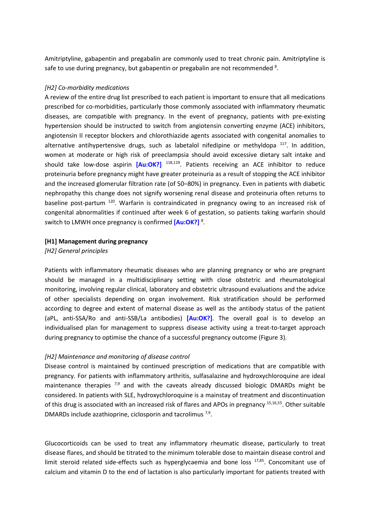Amitriptyline, gabapentin and pregabalin are commonly used to treat chronic pain. Amitriptyline is safe to use during pregnancy, but gabapentin or pregabalin are not recommended <sup>8</sup>.

### *[H2] Co-morbidity medications*

A review of the entire drug list prescribed to each patient is important to ensure that all medications prescribed for co-morbidities, particularly those commonly associated with inflammatory rheumatic diseases, are compatible with pregnancy. In the event of pregnancy, patients with pre-existing hypertension should be instructed to switch from angiotensin converting enzyme (ACE) inhibitors, angiotensin II receptor blockers and chlorothiazide agents associated with congenital anomalies to alternative antihypertensive drugs, such as labetalol nifedipine or methyldopa  $117$ . In addition, women at moderate or high risk of preeclampsia should avoid excessive dietary salt intake and should take low-dose aspirin **[Au:OK?]** 118,119 . Patients receiving an ACE inhibitor to reduce proteinuria before pregnancy might have greater proteinuria as a result of stopping the ACE inhibitor and the increased glomerular filtration rate (of 50–80%) in pregnancy. Even in patients with diabetic nephropathy this change does not signify worsening renal disease and proteinuria often returns to baseline post-partum<sup>120</sup>. Warfarin is contraindicated in pregnancy owing to an increased risk of congenital abnormalities if continued after week 6 of gestation, so patients taking warfarin should switch to LMWH once pregnancy is confirmed [Au:OK?]<sup>8</sup>.

### **[H1] Management during pregnancy**

*[H2] General principles*

Patients with inflammatory rheumatic diseases who are planning pregnancy or who are pregnant should be managed in a multidisciplinary setting with close obstetric and rheumatological monitoring, involving regular clinical, laboratory and obstetric ultrasound evaluations and the advice of other specialists depending on organ involvement. Risk stratification should be performed according to degree and extent of maternal disease as well as the antibody status of the patient (aPL, anti-SSA/Ro and anti-SSB/La antibodies) **[Au:OK?]**. The overall goal is to develop an individualised plan for management to suppress disease activity using a treat-to-target approach during pregnancy to optimise the chance of a successful pregnancy outcome (Figure 3).

## *[H2] Maintenance and monitoring of disease control*

Disease control is maintained by continued prescription of medications that are compatible with pregnancy. For patients with inflammatory arthritis, sulfasalazine and hydroxychloroquine are ideal maintenance therapies  $^{7,9}$  and with the caveats already discussed biologic DMARDs might be considered. In patients with SLE, hydroxychloroquine is a mainstay of treatment and discontinuation of this drug is associated with an increased risk of flares and APOs in pregnancy <sup>15,16,55</sup>. Other suitable DMARDs include azathioprine, ciclosporin and tacrolimus  $7,9$ .

Glucocorticoids can be used to treat any inflammatory rheumatic disease, particularly to treat disease flares, and should be titrated to the minimum tolerable dose to maintain disease control and limit steroid related side-effects such as hyperglycaemia and bone loss 17,85. Concomitant use of calcium and vitamin D to the end of lactation is also particularly important for patients treated with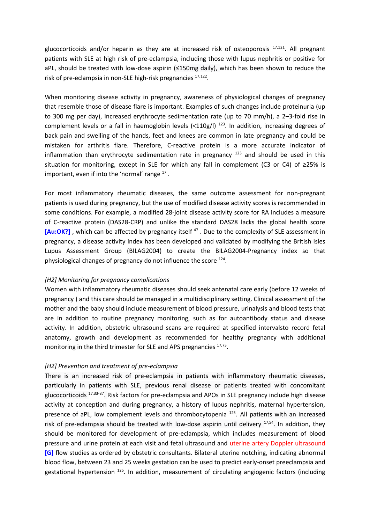glucocorticoids and/or heparin as they are at increased risk of osteoporosis <sup>17,121</sup>. All pregnant patients with SLE at high risk of pre-eclampsia, including those with lupus nephritis or positive for aPL, should be treated with low-dose aspirin (≤150mg daily), which has been shown to reduce the risk of pre-eclampsia in non-SLE high-risk pregnancies <sup>17,122</sup>.

When monitoring disease activity in pregnancy, awareness of physiological changes of pregnancy that resemble those of disease flare is important. Examples of such changes include proteinuria (up to 300 mg per day), increased erythrocyte sedimentation rate (up to 70 mm/h), a 2–3-fold rise in complement levels or a fall in haemoglobin levels (<110g/l) <sup>123</sup>. In addition, increasing degrees of back pain and swelling of the hands, feet and knees are common in late pregnancy and could be mistaken for arthritis flare. Therefore, C-reactive protein is a more accurate indicator of inflammation than erythrocyte sedimentation rate in pregnancy  $123$  and should be used in this situation for monitoring, except in SLE for which any fall in complement (C3 or C4) of ≥25% is important, even if into the 'normal' range  $^{17}$ .

For most inflammatory rheumatic diseases, the same outcome assessment for non-pregnant patients is used during pregnancy, but the use of modified disease activity scores is recommended in some conditions. For example, a modified 28-joint disease activity score for RA includes a measure of C-reactive protein (DAS28-CRP) and unlike the standard DAS28 lacks the global health score [Au:OK?], which can be affected by pregnancy itself<sup>47</sup>. Due to the complexity of SLE assessment in pregnancy, a disease activity index has been developed and validated by modifying the British Isles Lupus Assessment Group (BILAG2004) to create the BILAG2004-Pregnancy index so that physiological changes of pregnancy do not influence the score <sup>124</sup>.

## *[H2] Monitoring for pregnancy complications*

Women with inflammatory rheumatic diseases should seek antenatal care early (before 12 weeks of pregnancy ) and this care should be managed in a multidisciplinary setting. Clinical assessment of the mother and the baby should include measurement of blood pressure, urinalysis and blood tests that are in addition to routine pregnancy monitoring, such as for autoantibody status and disease activity. In addition, obstetric ultrasound scans are required at specified intervalsto record fetal anatomy, growth and development as recommended for healthy pregnancy with additional monitoring in the third trimester for SLE and APS pregnancies 17,73.

## *[H2] Prevention and treatment of pre-eclampsia*

There is an increased risk of pre-eclampsia in patients with inflammatory rheumatic diseases, particularly in patients with SLE, previous renal disease or patients treated with concomitant glucocorticoids <sup>17,33-37</sup>. Risk factors for pre-eclampsia and APOs in SLE pregnancy include high disease activity at conception and during pregnancy, a history of lupus nephritis, maternal hypertension, presence of aPL, low complement levels and thrombocytopenia<sup>125</sup>. All patients with an increased risk of pre-eclampsia should be treated with low-dose aspirin until delivery <sup>17,54</sup>. In addition, they should be monitored for development of pre-eclampsia, which includes measurement of blood pressure and urine protein at each visit and fetal ultrasound and uterine artery Doppler ultrasound **[G]** flow studies as ordered by obstetric consultants. Bilateral uterine notching, indicating abnormal blood flow, between 23 and 25 weeks gestation can be used to predict early-onset preeclampsia and gestational hypertension <sup>126</sup>. In addition, measurement of circulating angiogenic factors (including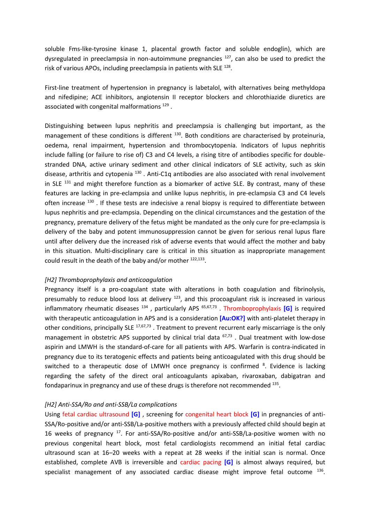soluble Fms-like-tyrosine kinase 1, placental growth factor and soluble endoglin), which are dysregulated in preeclampsia in non-autoimmune pregnancies <sup>127</sup>, can also be used to predict the risk of various APOs, including preeclampsia in patients with SLE<sup>128</sup>.

First-line treatment of hypertension in pregnancy is labetalol, with alternatives being methyldopa and nifedipine; ACE inhibitors, angiotensin II receptor blockers and chlorothiazide diuretics are associated with congenital malformations<sup>129</sup>.

Distinguishing between lupus nephritis and preeclampsia is challenging but important, as the management of these conditions is different <sup>130</sup>. Both conditions are characterised by proteinuria, oedema, renal impairment, hypertension and thrombocytopenia. Indicators of lupus nephritis include falling (or failure to rise of) C3 and C4 levels, a rising titre of antibodies specific for doublestranded DNA, active urinary sediment and other clinical indicators of SLE activity, such as skin disease, arthritis and cytopenia <sup>130</sup>. Anti-C1q antibodies are also associated with renal involvement in SLE  $131$  and might therefore function as a biomarker of active SLE. By contrast, many of these features are lacking in pre-eclampsia and unlike lupus nephritis, in pre-eclampsia C3 and C4 levels often increase <sup>130</sup>. If these tests are indecisive a renal biopsy is required to differentiate between lupus nephritis and pre-eclampsia. Depending on the clinical circumstances and the gestation of the pregnancy, premature delivery of the fetus might be mandated as the only cure for pre-eclampsia is delivery of the baby and potent immunosuppression cannot be given for serious renal lupus flare until after delivery due the increased risk of adverse events that would affect the mother and baby in this situation. Multi-disciplinary care is critical in this situation as inappropriate management could result in the death of the baby and/or mother 122,133.

### *[H2] Thromboprophylaxis and anticoagulation*

Pregnancy itself is a pro-coagulant state with alterations in both coagulation and fibrinolysis, presumably to reduce blood loss at delivery <sup>123</sup>, and this procoagulant risk is increased in various inflammatory rheumatic diseases <sup>134</sup> , particularly APS 65,67,73 . Thromboprophylaxis **[G]** is required with therapeutic anticoagulation in APS and is a consideration **[Au:OK?]** with anti-platelet therapy in other conditions, principally SLE <sup>17,67,73</sup>. Treatment to prevent recurrent early miscarriage is the only management in obstetric APS supported by clinical trial data <sup>67,73</sup>. Dual treatment with low-dose aspirin and LMWH is the standard-of-care for all patients with APS. Warfarin is contra-indicated in pregnancy due to its teratogenic effects and patients being anticoagulated with this drug should be switched to a therapeutic dose of LMWH once pregnancy is confirmed <sup>8</sup>. Evidence is lacking regarding the safety of the direct oral anticoagulants apixaban, rivaroxaban, dabigatran and fondaparinux in pregnancy and use of these drugs is therefore not recommended <sup>135</sup>.

### *[H2] Anti-SSA/Ro and anti-SSB/La complications*

Using fetal cardiac ultrasound **[G]** , screening for congenital heart block **[G]** in pregnancies of anti-SSA/Ro-positive and/or anti-SSB/La-positive mothers with a previously affected child should begin at 16 weeks of pregnancy <sup>17</sup>. For anti-SSA/Ro-positive and/or anti-SSB/La-positive women with no previous congenital heart block, most fetal cardiologists recommend an initial fetal cardiac ultrasound scan at 16–20 weeks with a repeat at 28 weeks if the initial scan is normal. Once established, complete AVB is irreversible and cardiac pacing **[G]** is almost always required, but specialist management of any associated cardiac disease might improve fetal outcome <sup>136</sup>.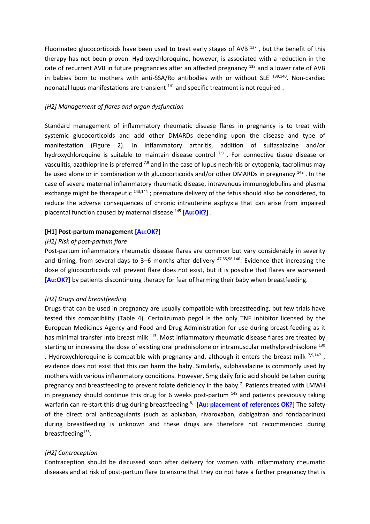Fluorinated glucocorticoids have been used to treat early stages of AVB  $^{137}$ , but the benefit of this therapy has not been proven. Hydroxychloroquine, however, is associated with a reduction in the rate of recurrent AVB in future pregnancies after an affected pregnancy <sup>138</sup> and a lower rate of AVB in babies born to mothers with anti-SSA/Ro antibodies with or without SLE  $^{139,140}$ . Non-cardiac neonatal lupus manifestations are transient <sup>141</sup> and specific treatment is not required .

### *[H2] Management of flares and organ dysfunction*

Standard management of inflammatory rheumatic disease flares in pregnancy is to treat with systemic glucocorticoids and add other DMARDs depending upon the disease and type of manifestation (Figure 2). In inflammatory arthritis, addition of sulfasalazine and/or hydroxychloroquine is suitable to maintain disease control<sup>7,9</sup>. For connective tissue disease or vasculitis, azathioprine is preferred  $^{7,9}$  and in the case of lupus nephritis or cytopenia, tacrolimus may be used alone or in combination with glucocorticoids and/or other DMARDs in pregnancy <sup>142</sup>. In the case of severe maternal inflammatory rheumatic disease, intravenous immunoglobulins and plasma exchange might be therapeutic <sup>143,144</sup>; premature delivery of the fetus should also be considered, to reduce the adverse consequences of chronic intrauterine asphyxia that can arise from impaired placental function caused by maternal disease <sup>145</sup> **[Au:OK?]** .

### **[H1] Post-partum management [Au:OK?]**

### *[H2] Risk of post-partum flare*

Post-partum inflammatory rheumatic disease flares are common but vary considerably in severity and timing, from several days to 3–6 months after delivery <sup>47,55,58,146</sup>. Evidence that increasing the dose of glucocorticoids will prevent flare does not exist, but it is possible that flares are worsened **[Au:OK?]** by patients discontinuing therapy for fear of harming their baby when breastfeeding.

### *[H2] Drugs and breastfeeding*

Drugs that can be used in pregnancy are usually compatible with breastfeeding, but few trials have tested this compatibility (Table 4). Certolizumab pegol is the only TNF inhibitor licensed by the European Medicines Agency and Food and Drug Administration for use during breast-feeding as it has minimal transfer into breast milk <sup>113</sup>. Most inflammatory rheumatic disease flares are treated by starting or increasing the dose of existing oral prednisolone or intramuscular methylprednisolone 130 . Hydroxychloroquine is compatible with pregnancy and, although it enters the breast milk  $7,9,147$ , evidence does not exist that this can harm the baby. Similarly, sulphasalazine is commonly used by mothers with various inflammatory conditions. However, 5mg daily folic acid should be taken during pregnancy and breastfeeding to prevent folate deficiency in the baby  $\frac{7}{1}$ . Patients treated with LMWH in pregnancy should continue this drug for 6 weeks post-partum <sup>148</sup> and patients previously taking warfarin can re-start this drug during breastfeeding <sup>8,</sup> [Au: placement of references OK?] The safety of the direct oral anticoagulants (such as apixaban, rivaroxaban, dabigatran and fondaparinux) during breastfeeding is unknown and these drugs are therefore not recommended during breastfeeding<sup>135</sup>.

### *[H2] Contraception*

Contraception should be discussed soon after delivery for women with inflammatory rheumatic diseases and at risk of post-partum flare to ensure that they do not have a further pregnancy that is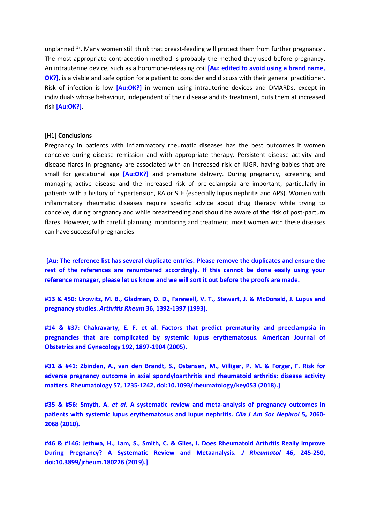unplanned  $17$ . Many women still think that breast-feeding will protect them from further pregnancy. The most appropriate contraception method is probably the method they used before pregnancy. An intrauterine device, such as a horomone-releasing coil **[Au: edited to avoid using a brand name, OK?]**, is a viable and safe option for a patient to consider and discuss with their general practitioner. Risk of infection is low **[Au:OK?]** in women using intrauterine devices and DMARDs, except in individuals whose behaviour, independent of their disease and its treatment, puts them at increased risk **[Au:OK?]**.

#### [H1] **Conclusions**

Pregnancy in patients with inflammatory rheumatic diseases has the best outcomes if women conceive during disease remission and with appropriate therapy. Persistent disease activity and disease flares in pregnancy are associated with an increased risk of IUGR, having babies that are small for gestational age **[Au:OK?]** and premature delivery. During pregnancy, screening and managing active disease and the increased risk of pre-eclampsia are important, particularly in patients with a history of hypertension, RA or SLE (especially lupus nephritis and APS). Women with inflammatory rheumatic diseases require specific advice about drug therapy while trying to conceive, during pregnancy and while breastfeeding and should be aware of the risk of post-partum flares. However, with careful planning, monitoring and treatment, most women with these diseases can have successful pregnancies.

**[Au: The reference list has several duplicate entries. Please remove the duplicates and ensure the rest of the references are renumbered accordingly. If this cannot be done easily using your reference manager, please let us know and we will sort it out before the proofs are made.**

#13 & #50: Urowitz, M. B., Gladman, D. D., Farewell, V. T., Stewart, J. & McDonald, J. Lupus and **pregnancy studies.** *Arthritis Rheum* **36, 1392-1397 (1993).**

**#14 & #37: Chakravarty, E. F. et al. Factors that predict prematurity and preeclampsia in pregnancies that are complicated by systemic lupus erythematosus. American Journal of Obstetrics and Gynecology 192, 1897-1904 (2005).**

#31 & #41: Zbinden, A., van den Brandt, S., Ostensen, M., Villiger, P. M. & Forger, F. Risk for **adverse pregnancy outcome in axial spondyloarthritis and rheumatoid arthritis: disease activity matters. Rheumatology 57, 1235-1242, doi:10.1093/rheumatology/key053 (2018).]**

**#35 & #56: Smyth, A.** *et al.* **A systematic review and meta-analysis of pregnancy outcomes in patients with systemic lupus erythematosus and lupus nephritis.** *Clin J Am Soc Nephrol* **5, 2060- 2068 (2010).**

**#46 & #146: Jethwa, H., Lam, S., Smith, C. & Giles, I. Does Rheumatoid Arthritis Really Improve During Pregnancy? A Systematic Review and Metaanalysis.** *J Rheumatol* **46, 245-250, doi:10.3899/jrheum.180226 (2019).]**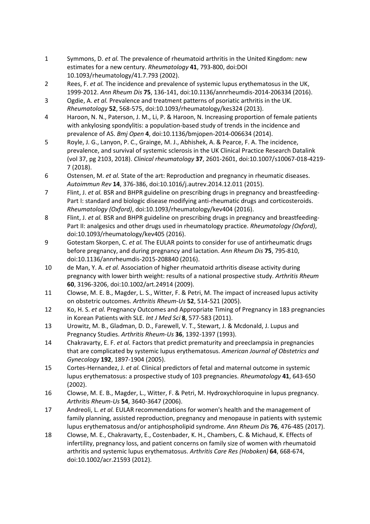- 1 Symmons, D. *et al.* The prevalence of rheumatoid arthritis in the United Kingdom: new estimates for a new century. *Rheumatology* **41**, 793-800, doi:DOI 10.1093/rheumatology/41.7.793 (2002).
- 2 Rees, F. *et al.* The incidence and prevalence of systemic lupus erythematosus in the UK, 1999-2012. *Ann Rheum Dis* **75**, 136-141, doi:10.1136/annrheumdis-2014-206334 (2016).
- 3 Ogdie, A. *et al.* Prevalence and treatment patterns of psoriatic arthritis in the UK. *Rheumatology* **52**, 568-575, doi:10.1093/rheumatology/kes324 (2013).
- 4 Haroon, N. N., Paterson, J. M., Li, P. & Haroon, N. Increasing proportion of female patients with ankylosing spondylitis: a population-based study of trends in the incidence and prevalence of AS. *Bmj Open* **4**, doi:10.1136/bmjopen-2014-006634 (2014).
- 5 Royle, J. G., Lanyon, P. C., Grainge, M. J., Abhishek, A. & Pearce, F. A. The incidence, prevalence, and survival of systemic sclerosis in the UK Clinical Practice Research Datalink (vol 37, pg 2103, 2018). *Clinical rheumatology* **37**, 2601-2601, doi:10.1007/s10067-018-4219- 7 (2018).
- 6 Ostensen, M. *et al.* State of the art: Reproduction and pregnancy in rheumatic diseases. *Autoimmun Rev* **14**, 376-386, doi:10.1016/j.autrev.2014.12.011 (2015).
- 7 Flint, J. *et al.* BSR and BHPR guideline on prescribing drugs in pregnancy and breastfeeding-Part I: standard and biologic disease modifying anti-rheumatic drugs and corticosteroids. *Rheumatology (Oxford)*, doi:10.1093/rheumatology/kev404 (2016).
- 8 Flint, J. *et al.* BSR and BHPR guideline on prescribing drugs in pregnancy and breastfeeding-Part II: analgesics and other drugs used in rheumatology practice. *Rheumatology (Oxford)*, doi:10.1093/rheumatology/kev405 (2016).
- 9 Gotestam Skorpen, C. *et al.* The EULAR points to consider for use of antirheumatic drugs before pregnancy, and during pregnancy and lactation. *Ann Rheum Dis* **75**, 795-810, doi:10.1136/annrheumdis-2015-208840 (2016).
- 10 de Man, Y. A. *et al.* Association of higher rheumatoid arthritis disease activity during pregnancy with lower birth weight: results of a national prospective study. *Arthritis Rheum* **60**, 3196-3206, doi:10.1002/art.24914 (2009).
- 11 Clowse, M. E. B., Magder, L. S., Witter, F. & Petri, M. The impact of increased lupus activity on obstetric outcomes. *Arthritis Rheum-Us* **52**, 514-521 (2005).
- 12 Ko, H. S. *et al.* Pregnancy Outcomes and Appropriate Timing of Pregnancy in 183 pregnancies in Korean Patients with SLE. *Int J Med Sci* **8**, 577-583 (2011).
- 13 Urowitz, M. B., Gladman, D. D., Farewell, V. T., Stewart, J. & Mcdonald, J. Lupus and Pregnancy Studies. *Arthritis Rheum-Us* **36**, 1392-1397 (1993).
- 14 Chakravarty, E. F. *et al.* Factors that predict prematurity and preeclampsia in pregnancies that are complicated by systemic lupus erythematosus. *American Journal of Obstetrics and Gynecology* **192**, 1897-1904 (2005).
- 15 Cortes-Hernandez, J. *et al.* Clinical predictors of fetal and maternal outcome in systemic lupus erythematosus: a prospective study of 103 pregnancies. *Rheumatology* **41**, 643-650 (2002).
- 16 Clowse, M. E. B., Magder, L., Witter, F. & Petri, M. Hydroxychloroquine in lupus pregnancy. *Arthritis Rheum-Us* **54**, 3640-3647 (2006).
- 17 Andreoli, L. *et al.* EULAR recommendations for women's health and the management of family planning, assisted reproduction, pregnancy and menopause in patients with systemic lupus erythematosus and/or antiphospholipid syndrome. *Ann Rheum Dis* **76**, 476-485 (2017).
- 18 Clowse, M. E., Chakravarty, E., Costenbader, K. H., Chambers, C. & Michaud, K. Effects of infertility, pregnancy loss, and patient concerns on family size of women with rheumatoid arthritis and systemic lupus erythematosus. *Arthritis Care Res (Hoboken)* **64**, 668-674, doi:10.1002/acr.21593 (2012).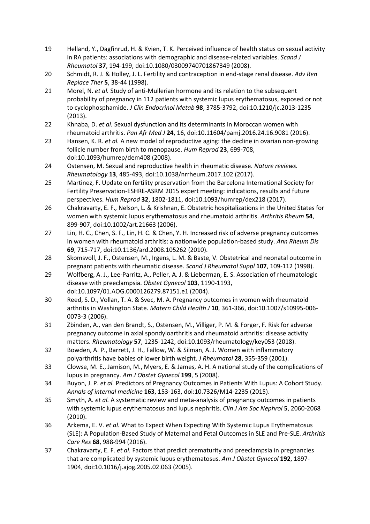- 19 Helland, Y., Dagfinrud, H. & Kvien, T. K. Perceived influence of health status on sexual activity in RA patients: associations with demographic and disease-related variables. *Scand J Rheumatol* **37**, 194-199, doi:10.1080/03009740701867349 (2008).
- 20 Schmidt, R. J. & Holley, J. L. Fertility and contraception in end-stage renal disease. *Adv Ren Replace Ther* **5**, 38-44 (1998).
- 21 Morel, N. *et al.* Study of anti-Mullerian hormone and its relation to the subsequent probability of pregnancy in 112 patients with systemic lupus erythematosus, exposed or not to cyclophosphamide. *J Clin Endocrinol Metab* **98**, 3785-3792, doi:10.1210/jc.2013-1235 (2013).
- 22 Khnaba, D. *et al.* Sexual dysfunction and its determinants in Moroccan women with rheumatoid arthritis. *Pan Afr Med J* **24**, 16, doi:10.11604/pamj.2016.24.16.9081 (2016).
- 23 Hansen, K. R. *et al.* A new model of reproductive aging: the decline in ovarian non-growing follicle number from birth to menopause. *Hum Reprod* **23**, 699-708, doi:10.1093/humrep/dem408 (2008).
- 24 Ostensen, M. Sexual and reproductive health in rheumatic disease. *Nature reviews. Rheumatology* **13**, 485-493, doi:10.1038/nrrheum.2017.102 (2017).
- 25 Martinez, F. Update on fertility preservation from the Barcelona International Society for Fertility Preservation-ESHRE-ASRM 2015 expert meeting: indications, results and future perspectives. *Hum Reprod* **32**, 1802-1811, doi:10.1093/humrep/dex218 (2017).
- 26 Chakravarty, E. F., Nelson, L. & Krishnan, E. Obstetric hospitalizations in the United States for women with systemic lupus erythematosus and rheumatoid arthritis. *Arthritis Rheum* **54**, 899-907, doi:10.1002/art.21663 (2006).
- 27 Lin, H. C., Chen, S. F., Lin, H. C. & Chen, Y. H. Increased risk of adverse pregnancy outcomes in women with rheumatoid arthritis: a nationwide population-based study. *Ann Rheum Dis* **69**, 715-717, doi:10.1136/ard.2008.105262 (2010).
- 28 Skomsvoll, J. F., Ostensen, M., Irgens, L. M. & Baste, V. Obstetrical and neonatal outcome in pregnant patients with rheumatic disease. *Scand J Rheumatol Suppl* **107**, 109-112 (1998).
- 29 Wolfberg, A. J., Lee-Parritz, A., Peller, A. J. & Lieberman, E. S. Association of rheumatologic disease with preeclampsia. *Obstet Gynecol* **103**, 1190-1193, doi:10.1097/01.AOG.0000126279.87151.e1 (2004).
- 30 Reed, S. D., Vollan, T. A. & Svec, M. A. Pregnancy outcomes in women with rheumatoid arthritis in Washington State. *Matern Child Health J* **10**, 361-366, doi:10.1007/s10995-006- 0073-3 (2006).
- 31 Zbinden, A., van den Brandt, S., Ostensen, M., Villiger, P. M. & Forger, F. Risk for adverse pregnancy outcome in axial spondyloarthritis and rheumatoid arthritis: disease activity matters. *Rheumatology* **57**, 1235-1242, doi:10.1093/rheumatology/key053 (2018).
- 32 Bowden, A. P., Barrett, J. H., Fallow, W. & Silman, A. J. Women with inflammatory polyarthritis have babies of lower birth weight. *J Rheumatol* **28**, 355-359 (2001).
- 33 Clowse, M. E., Jamison, M., Myers, E. & James, A. H. A national study of the complications of lupus in pregnancy. *Am J Obstet Gynecol* **199**, 5 (2008).
- 34 Buyon, J. P. *et al.* Predictors of Pregnancy Outcomes in Patients With Lupus: A Cohort Study. *Annals of internal medicine* **163**, 153-163, doi:10.7326/M14-2235 (2015).
- 35 Smyth, A. *et al.* A systematic review and meta-analysis of pregnancy outcomes in patients with systemic lupus erythematosus and lupus nephritis. *Clin J Am Soc Nephrol* **5**, 2060-2068 (2010).
- 36 Arkema, E. V. *et al.* What to Expect When Expecting With Systemic Lupus Erythematosus (SLE): A Population-Based Study of Maternal and Fetal Outcomes in SLE and Pre-SLE. *Arthritis Care Res* **68**, 988-994 (2016).
- 37 Chakravarty, E. F. *et al.* Factors that predict prematurity and preeclampsia in pregnancies that are complicated by systemic lupus erythematosus. *Am J Obstet Gynecol* **192**, 1897- 1904, doi:10.1016/j.ajog.2005.02.063 (2005).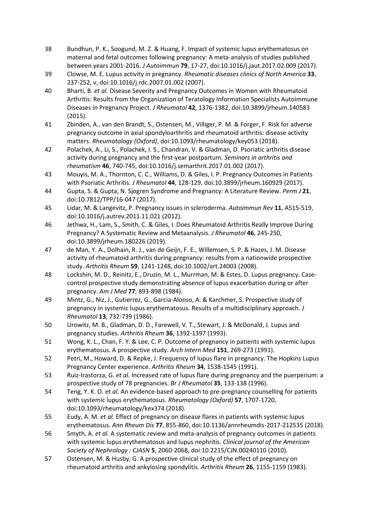- 38 Bundhun, P. K., Soogund, M. Z. & Huang, F. Impact of systemic lupus erythematosus on maternal and fetal outcomes following pregnancy: A meta-analysis of studies published between years 2001-2016. *J Autoimmun* **79**, 17-27, doi:10.1016/j.jaut.2017.02.009 (2017).
- 39 Clowse, M. E. Lupus activity in pregnancy. *Rheumatic diseases clinics of North America* **33**, 237-252, v, doi:10.1016/j.rdc.2007.01.002 (2007).
- 40 Bharti, B. *et al.* Disease Severity and Pregnancy Outcomes in Women with Rheumatoid Arthritis: Results from the Organization of Teratology Information Specialists Autoimmune Diseases in Pregnancy Project. *J Rheumatol* **42**, 1376-1382, doi:10.3899/jrheum.140583 (2015).
- 41 Zbinden, A., van den Brandt, S., Ostensen, M., Villiger, P. M. & Forger, F. Risk for adverse pregnancy outcome in axial spondyloarthritis and rheumatoid arthritis: disease activity matters. *Rheumatology (Oxford)*, doi:10.1093/rheumatology/key053 (2018).
- 42 Polachek, A., Li, S., Polachek, I. S., Chandran, V. & Gladman, D. Psoriatic arthritis disease activity during pregnancy and the first-year postpartum. *Seminars in arthritis and rheumatism* **46**, 740-745, doi:10.1016/j.semarthrit.2017.01.002 (2017).
- 43 Mouyis, M. A., Thornton, C. C., Williams, D. & Giles, I. P. Pregnancy Outcomes in Patients with Psoriatic Arthritis. *J Rheumatol* **44**, 128-129, doi:10.3899/jrheum.160929 (2017).
- 44 Gupta, S. & Gupta, N. Sjogren Syndrome and Pregnancy: A Literature Review. *Perm J* **21**, doi:10.7812/TPP/16-047 (2017).
- 45 Lidar, M. & Langevitz, P. Pregnancy issues in scleroderma. *Autoimmun Rev* **11**, A515-519, doi:10.1016/j.autrev.2011.11.021 (2012).
- 46 Jethwa, H., Lam, S., Smith, C. & Giles, I. Does Rheumatoid Arthritis Really Improve During Pregnancy? A Systematic Review and Metaanalysis. *J Rheumatol* **46**, 245-250, doi:10.3899/jrheum.180226 (2019).
- 47 de Man, Y. A., Dolhain, R. J., van de Geijn, F. E., Willemsen, S. P. & Hazes, J. M. Disease activity of rheumatoid arthritis during pregnancy: results from a nationwide prospective study. *Arthritis Rheum* **59**, 1241-1248, doi:10.1002/art.24003 (2008).
- 48 Lockshin, M. D., Reinitz, E., Druzin, M. L., Murrman, M. & Estes, D. Lupus pregnancy. Casecontrol prospective study demonstrating absence of lupus exacerbation during or after pregnancy. *Am J Med* **77**, 893-898 (1984).
- 49 Mintz, G., Niz, J., Gutierrez, G., Garcia-Alonso, A. & Karchmer, S. Prospective study of pregnancy in systemic lupus erythematosus. Results of a multidisciplinary approach. *J Rheumatol* **13**, 732-739 (1986).
- 50 Urowitz, M. B., Gladman, D. D., Farewell, V. T., Stewart, J. & McDonald, J. Lupus and pregnancy studies. *Arthritis Rheum* **36**, 1392-1397 (1993).
- 51 Wong, K. L., Chan, F. Y. & Lee, C. P. Outcome of pregnancy in patients with systemic lupus erythematosus. A prospective study. *Arch Intern Med* **151**, 269-273 (1991).
- 52 Petri, M., Howard, D. & Repke, J. Frequency of lupus flare in pregnancy. The Hopkins Lupus Pregnancy Center experience. *Arthritis Rheum* **34**, 1538-1545 (1991).
- 53 Ruiz-Irastorza, G. *et al.* Increased rate of lupus flare during pregnancy and the puerperium: a prospective study of 78 pregnancies. *Br J Rheumatol* **35**, 133-138 (1996).
- 54 Teng, Y. K. O. *et al.* An evidence-based approach to pre-pregnancy counselling for patients with systemic lupus erythematosus. *Rheumatology (Oxford)* **57**, 1707-1720, doi:10.1093/rheumatology/kex374 (2018).
- 55 Eudy, A. M. *et al.* Effect of pregnancy on disease flares in patients with systemic lupus erythematosus. *Ann Rheum Dis* **77**, 855-860, doi:10.1136/annrheumdis-2017-212535 (2018).
- 56 Smyth, A. *et al.* A systematic review and meta-analysis of pregnancy outcomes in patients with systemic lupus erythematosus and lupus nephritis. *Clinical journal of the American Society of Nephrology : CJASN* **5**, 2060-2068, doi:10.2215/CJN.00240110 (2010).
- 57 Ostensen, M. & Husby, G. A prospective clinical study of the effect of pregnancy on rheumatoid arthritis and ankylosing spondylitis. *Arthritis Rheum* **26**, 1155-1159 (1983).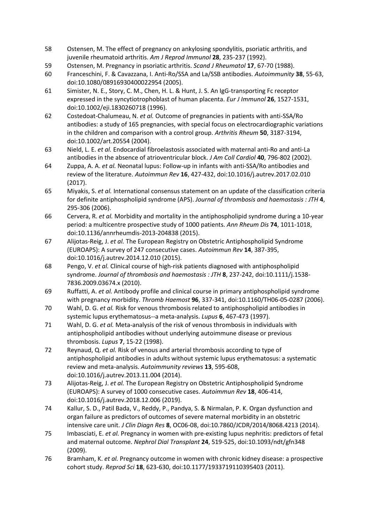- 58 Ostensen, M. The effect of pregnancy on ankylosing spondylitis, psoriatic arthritis, and juvenile rheumatoid arthritis. *Am J Reprod Immunol* **28**, 235-237 (1992).
- 59 Ostensen, M. Pregnancy in psoriatic arthritis. *Scand J Rheumatol* **17**, 67-70 (1988).
- 60 Franceschini, F. & Cavazzana, I. Anti-Ro/SSA and La/SSB antibodies. *Autoimmunity* **38**, 55-63, doi:10.1080/08916930400022954 (2005).
- 61 Simister, N. E., Story, C. M., Chen, H. L. & Hunt, J. S. An IgG-transporting Fc receptor expressed in the syncytiotrophoblast of human placenta. *Eur J Immunol* **26**, 1527-1531, doi:10.1002/eji.1830260718 (1996).
- 62 Costedoat-Chalumeau, N. *et al.* Outcome of pregnancies in patients with anti-SSA/Ro antibodies: a study of 165 pregnancies, with special focus on electrocardiographic variations in the children and comparison with a control group. *Arthritis Rheum* **50**, 3187-3194, doi:10.1002/art.20554 (2004).
- 63 Nield, L. E. *et al.* Endocardial fibroelastosis associated with maternal anti-Ro and anti-La antibodies in the absence of atrioventricular block. *J Am Coll Cardiol* **40**, 796-802 (2002).
- 64 Zuppa, A. A. *et al.* Neonatal lupus: Follow-up in infants with anti-SSA/Ro antibodies and review of the literature. *Autoimmun Rev* **16**, 427-432, doi:10.1016/j.autrev.2017.02.010 (2017).
- 65 Miyakis, S. *et al.* International consensus statement on an update of the classification criteria for definite antiphospholipid syndrome (APS). *Journal of thrombosis and haemostasis : JTH* **4**, 295-306 (2006).
- 66 Cervera, R. *et al.* Morbidity and mortality in the antiphospholipid syndrome during a 10-year period: a multicentre prospective study of 1000 patients. *Ann Rheum Dis* **74**, 1011-1018, doi:10.1136/annrheumdis-2013-204838 (2015).
- 67 Alijotas-Reig, J. *et al.* The European Registry on Obstetric Antiphospholipid Syndrome (EUROAPS): A survey of 247 consecutive cases. *Autoimmun Rev* **14**, 387-395, doi:10.1016/j.autrev.2014.12.010 (2015).
- 68 Pengo, V. *et al.* Clinical course of high-risk patients diagnosed with antiphospholipid syndrome. *Journal of thrombosis and haemostasis : JTH* **8**, 237-242, doi:10.1111/j.1538- 7836.2009.03674.x (2010).
- 69 Ruffatti, A. *et al.* Antibody profile and clinical course in primary antiphospholipid syndrome with pregnancy morbidity. *Thromb Haemost* **96**, 337-341, doi:10.1160/TH06-05-0287 (2006).
- 70 Wahl, D. G. *et al.* Risk for venous thrombosis related to antiphospholipid antibodies in systemic lupus erythematosus--a meta-analysis. *Lupus* **6**, 467-473 (1997).
- 71 Wahl, D. G. *et al.* Meta-analysis of the risk of venous thrombosis in individuals with antiphospholipid antibodies without underlying autoimmune disease or previous thrombosis. *Lupus* **7**, 15-22 (1998).
- 72 Reynaud, Q. *et al.* Risk of venous and arterial thrombosis according to type of antiphospholipid antibodies in adults without systemic lupus erythematosus: a systematic review and meta-analysis. *Autoimmunity reviews* **13**, 595-608, doi:10.1016/j.autrev.2013.11.004 (2014).
- 73 Alijotas-Reig, J. *et al.* The European Registry on Obstetric Antiphospholipid Syndrome (EUROAPS): A survey of 1000 consecutive cases. *Autoimmun Rev* **18**, 406-414, doi:10.1016/j.autrev.2018.12.006 (2019).
- 74 Kallur, S. D., Patil Bada, V., Reddy, P., Pandya, S. & Nirmalan, P. K. Organ dysfunction and organ failure as predictors of outcomes of severe maternal morbidity in an obstetric intensive care unit. *J Clin Diagn Res* **8**, OC06-08, doi:10.7860/JCDR/2014/8068.4213 (2014).
- 75 Imbasciati, E. *et al.* Pregnancy in women with pre-existing lupus nephritis: predictors of fetal and maternal outcome. *Nephrol Dial Transplant* **24**, 519-525, doi:10.1093/ndt/gfn348 (2009).
- 76 Bramham, K. *et al.* Pregnancy outcome in women with chronic kidney disease: a prospective cohort study. *Reprod Sci* **18**, 623-630, doi:10.1177/1933719110395403 (2011).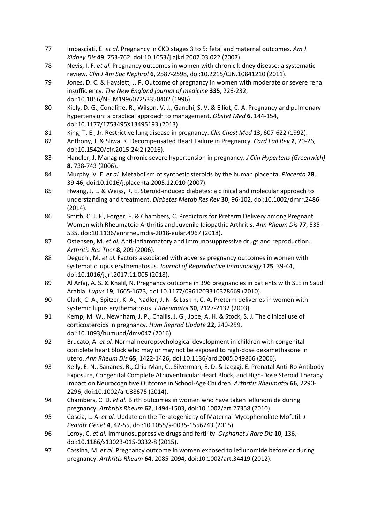- 77 Imbasciati, E. *et al.* Pregnancy in CKD stages 3 to 5: fetal and maternal outcomes. *Am J Kidney Dis* **49**, 753-762, doi:10.1053/j.ajkd.2007.03.022 (2007).
- 78 Nevis, I. F. *et al.* Pregnancy outcomes in women with chronic kidney disease: a systematic review. *Clin J Am Soc Nephrol* **6**, 2587-2598, doi:10.2215/CJN.10841210 (2011).
- 79 Jones, D. C. & Hayslett, J. P. Outcome of pregnancy in women with moderate or severe renal insufficiency. *The New England journal of medicine* **335**, 226-232, doi:10.1056/NEJM199607253350402 (1996).
- 80 Kiely, D. G., Condliffe, R., Wilson, V. J., Gandhi, S. V. & Elliot, C. A. Pregnancy and pulmonary hypertension: a practical approach to management. *Obstet Med* **6**, 144-154, doi:10.1177/1753495X13495193 (2013).
- 81 King, T. E., Jr. Restrictive lung disease in pregnancy. *Clin Chest Med* **13**, 607-622 (1992).
- 82 Anthony, J. & Sliwa, K. Decompensated Heart Failure in Pregnancy. *Card Fail Rev* **2**, 20-26, doi:10.15420/cfr.2015:24:2 (2016).
- 83 Handler, J. Managing chronic severe hypertension in pregnancy. *J Clin Hypertens (Greenwich)* **8**, 738-743 (2006).
- 84 Murphy, V. E. *et al.* Metabolism of synthetic steroids by the human placenta. *Placenta* **28**, 39-46, doi:10.1016/j.placenta.2005.12.010 (2007).
- 85 Hwang, J. L. & Weiss, R. E. Steroid-induced diabetes: a clinical and molecular approach to understanding and treatment. *Diabetes Metab Res Rev* **30**, 96-102, doi:10.1002/dmrr.2486 (2014).
- 86 Smith, C. J. F., Forger, F. & Chambers, C. Predictors for Preterm Delivery among Pregnant Women with Rheumatoid Arthritis and Juvenile Idiopathic Arthritis. *Ann Rheum Dis* **77**, 535- 535, doi:10.1136/annrheumdis-2018-eular.4967 (2018).
- 87 Ostensen, M. *et al.* Anti-inflammatory and immunosuppressive drugs and reproduction. *Arthritis Res Ther* **8**, 209 (2006).
- 88 Deguchi, M. *et al.* Factors associated with adverse pregnancy outcomes in women with systematic lupus erythematosus. *Journal of Reproductive Immunology* **125**, 39-44, doi:10.1016/j.jri.2017.11.005 (2018).
- 89 Al Arfaj, A. S. & Khalil, N. Pregnancy outcome in 396 pregnancies in patients with SLE in Saudi Arabia. *Lupus* **19**, 1665-1673, doi:10.1177/0961203310378669 (2010).
- 90 Clark, C. A., Spitzer, K. A., Nadler, J. N. & Laskin, C. A. Preterm deliveries in women with systemic lupus erythematosus. *J Rheumatol* **30**, 2127-2132 (2003).
- 91 Kemp, M. W., Newnham, J. P., Challis, J. G., Jobe, A. H. & Stock, S. J. The clinical use of corticosteroids in pregnancy. *Hum Reprod Update* **22**, 240-259, doi:10.1093/humupd/dmv047 (2016).
- 92 Brucato, A. *et al.* Normal neuropsychological development in children with congenital complete heart block who may or may not be exposed to high-dose dexamethasone in utero. *Ann Rheum Dis* **65**, 1422-1426, doi:10.1136/ard.2005.049866 (2006).
- 93 Kelly, E. N., Sananes, R., Chiu-Man, C., Silverman, E. D. & Jaeggi, E. Prenatal Anti-Ro Antibody Exposure, Congenital Complete Atrioventricular Heart Block, and High-Dose Steroid Therapy Impact on Neurocognitive Outcome in School-Age Children. *Arthritis Rheumatol* **66**, 2290- 2296, doi:10.1002/art.38675 (2014).
- 94 Chambers, C. D. *et al.* Birth outcomes in women who have taken leflunomide during pregnancy. *Arthritis Rheum* **62**, 1494-1503, doi:10.1002/art.27358 (2010).
- 95 Coscia, L. A. *et al.* Update on the Teratogenicity of Maternal Mycophenolate Mofetil. *J Pediatr Genet* **4**, 42-55, doi:10.1055/s-0035-1556743 (2015).
- 96 Leroy, C. *et al.* Immunosuppressive drugs and fertility. *Orphanet J Rare Dis* **10**, 136, doi:10.1186/s13023-015-0332-8 (2015).
- 97 Cassina, M. *et al.* Pregnancy outcome in women exposed to leflunomide before or during pregnancy. *Arthritis Rheum* **64**, 2085-2094, doi:10.1002/art.34419 (2012).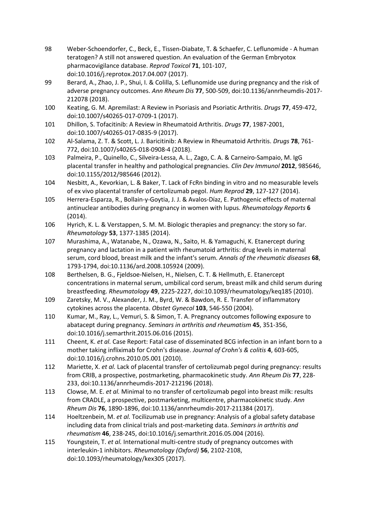- 98 Weber-Schoendorfer, C., Beck, E., Tissen-Diabate, T. & Schaefer, C. Leflunomide A human teratogen? A still not answered question. An evaluation of the German Embryotox pharmacovigilance database. *Reprod Toxicol* **71**, 101-107, doi:10.1016/j.reprotox.2017.04.007 (2017).
- 99 Berard, A., Zhao, J. P., Shui, I. & Colilla, S. Leflunomide use during pregnancy and the risk of adverse pregnancy outcomes. *Ann Rheum Dis* **77**, 500-509, doi:10.1136/annrheumdis-2017- 212078 (2018).
- 100 Keating, G. M. Apremilast: A Review in Psoriasis and Psoriatic Arthritis. *Drugs* **77**, 459-472, doi:10.1007/s40265-017-0709-1 (2017).
- 101 Dhillon, S. Tofacitinib: A Review in Rheumatoid Arthritis. *Drugs* **77**, 1987-2001, doi:10.1007/s40265-017-0835-9 (2017).
- 102 Al-Salama, Z. T. & Scott, L. J. Baricitinib: A Review in Rheumatoid Arthritis. *Drugs* **78**, 761- 772, doi:10.1007/s40265-018-0908-4 (2018).
- 103 Palmeira, P., Quinello, C., Silveira-Lessa, A. L., Zago, C. A. & Carneiro-Sampaio, M. IgG placental transfer in healthy and pathological pregnancies. *Clin Dev Immunol* **2012**, 985646, doi:10.1155/2012/985646 (2012).
- 104 Nesbitt, A., Kevorkian, L. & Baker, T. Lack of FcRn binding in vitro and no measurable levels of ex vivo placental transfer of certolizumab pegol. *Hum Reprod* **29**, 127-127 (2014).
- 105 Herrera-Esparza, R., Bollain-y-Goytia, J. J. & Avalos-Díaz, E. Pathogenic effects of maternal antinuclear antibodies during pregnancy in women with lupus. *Rheumatology Reports* **6** (2014).
- 106 Hyrich, K. L. & Verstappen, S. M. M. Biologic therapies and pregnancy: the story so far. *Rheumatology* **53**, 1377-1385 (2014).
- 107 Murashima, A., Watanabe, N., Ozawa, N., Saito, H. & Yamaguchi, K. Etanercept during pregnancy and lactation in a patient with rheumatoid arthritis: drug levels in maternal serum, cord blood, breast milk and the infant's serum. *Annals of the rheumatic diseases* **68**, 1793-1794, doi:10.1136/ard.2008.105924 (2009).
- 108 Berthelsen, B. G., Fjeldsoe-Nielsen, H., Nielsen, C. T. & Hellmuth, E. Etanercept concentrations in maternal serum, umbilical cord serum, breast milk and child serum during breastfeeding. *Rheumatology* **49**, 2225-2227, doi:10.1093/rheumatology/keq185 (2010).
- 109 Zaretsky, M. V., Alexander, J. M., Byrd, W. & Bawdon, R. E. Transfer of inflammatory cytokines across the placenta. *Obstet Gynecol* **103**, 546-550 (2004).
- 110 Kumar, M., Ray, L., Vemuri, S. & Simon, T. A. Pregnancy outcomes following exposure to abatacept during pregnancy. *Seminars in arthritis and rheumatism* **45**, 351-356, doi:10.1016/j.semarthrit.2015.06.016 (2015).
- 111 Cheent, K. *et al.* Case Report: Fatal case of disseminated BCG infection in an infant born to a mother taking infliximab for Crohn's disease. *Journal of Crohn's & colitis* **4**, 603-605, doi:10.1016/j.crohns.2010.05.001 (2010).
- 112 Mariette, X. *et al.* Lack of placental transfer of certolizumab pegol during pregnancy: results from CRIB, a prospective, postmarketing, pharmacokinetic study. *Ann Rheum Dis* **77**, 228- 233, doi:10.1136/annrheumdis-2017-212196 (2018).
- 113 Clowse, M. E. *et al.* Minimal to no transfer of certolizumab pegol into breast milk: results from CRADLE, a prospective, postmarketing, multicentre, pharmacokinetic study. *Ann Rheum Dis* **76**, 1890-1896, doi:10.1136/annrheumdis-2017-211384 (2017).
- 114 Hoeltzenbein, M. *et al.* Tocilizumab use in pregnancy: Analysis of a global safety database including data from clinical trials and post-marketing data. *Seminars in arthritis and rheumatism* **46**, 238-245, doi:10.1016/j.semarthrit.2016.05.004 (2016).
- 115 Youngstein, T. *et al.* International multi-centre study of pregnancy outcomes with interleukin-1 inhibitors. *Rheumatology (Oxford)* **56**, 2102-2108, doi:10.1093/rheumatology/kex305 (2017).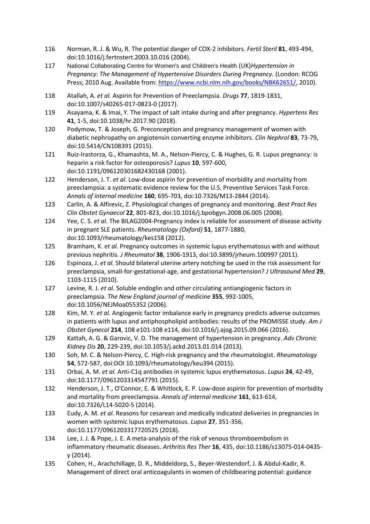- 116 Norman, R. J. & Wu, R. The potential danger of COX-2 inhibitors. *Fertil Steril* **81**, 493-494, doi:10.1016/j.fertnstert.2003.10.016 (2004).
- 117 National Collaborating Centre for Women's and Children's Health (UK)*Hypertension in Pregnancy: The Management of Hypertensive Disorders During Pregnancy.* (London: RCOG Press; 2010 Aug. Available from: [https://www.ncbi.nlm.nih.gov/books/NBK62651/,](https://www.ncbi.nlm.nih.gov/books/NBK62651/) 2010).
- 118 Atallah, A. *et al.* Aspirin for Prevention of Preeclampsia. *Drugs* **77**, 1819-1831, doi:10.1007/s40265-017-0823-0 (2017).
- 119 Asayama, K. & Imai, Y. The impact of salt intake during and after pregnancy. *Hypertens Res* **41**, 1-5, doi:10.1038/hr.2017.90 (2018).
- 120 Podymow, T. & Joseph, G. Preconception and pregnancy management of women with diabetic nephropathy on angiotensin converting enzyme inhibitors. *Clin Nephrol* **83**, 73-79, doi:10.5414/CN108391 (2015).
- 121 Ruiz-Irastorza, G., Khamashta, M. A., Nelson-Piercy, C. & Hughes, G. R. Lupus pregnancy: is heparin a risk factor for osteoporosis? *Lupus* **10**, 597-600, doi:10.1191/096120301682430168 (2001).
- 122 Henderson, J. T. *et al.* Low-dose aspirin for prevention of morbidity and mortality from preeclampsia: a systematic evidence review for the U.S. Preventive Services Task Force. *Annals of internal medicine* **160**, 695-703, doi:10.7326/M13-2844 (2014).
- 123 Carlin, A. & Alfirevic, Z. Physiological changes of pregnancy and monitoring. *Best Pract Res Clin Obstet Gynaecol* **22**, 801-823, doi:10.1016/j.bpobgyn.2008.06.005 (2008).
- 124 Yee, C. S. *et al.* The BILAG2004-Pregnancy index is reliable for assessment of disease activity in pregnant SLE patients. *Rheumatology (Oxford)* **51**, 1877-1880, doi:10.1093/rheumatology/kes158 (2012).
- 125 Bramham, K. *et al.* Pregnancy outcomes in systemic lupus erythematosus with and without previous nephritis. *J Rheumatol* **38**, 1906-1913, doi:10.3899/jrheum.100997 (2011).
- 126 Espinoza, J. *et al.* Should bilateral uterine artery notching be used in the risk assessment for preeclampsia, small-for-gestational-age, and gestational hypertension? *J Ultrasound Med* **29**, 1103-1115 (2010).
- 127 Levine, R. J. *et al.* Soluble endoglin and other circulating antiangiogenic factors in preeclampsia. *The New England journal of medicine* **355**, 992-1005, doi:10.1056/NEJMoa055352 (2006).
- 128 Kim, M. Y. *et al.* Angiogenic factor imbalance early in pregnancy predicts adverse outcomes in patients with lupus and antiphospholipid antibodies: results of the PROMISSE study. *Am J Obstet Gynecol* **214**, 108 e101-108 e114, doi:10.1016/j.ajog.2015.09.066 (2016).
- 129 Kattah, A. G. & Garovic, V. D. The management of hypertension in pregnancy. *Adv Chronic Kidney Dis* **20**, 229-239, doi:10.1053/j.ackd.2013.01.014 (2013).
- 130 Soh, M. C. & Nelson-Piercy, C. High-risk pregnancy and the rheumatologist. *Rheumatology* **54**, 572-587, doi:DOI 10.1093/rheumatology/keu394 (2015).
- 131 Orbai, A. M. *et al.* Anti-C1q antibodies in systemic lupus erythematosus. *Lupus* **24**, 42-49, doi:10.1177/0961203314547791 (2015).
- 132 Henderson, J. T., O'Connor, E. & Whitlock, E. P. Low-dose aspirin for prevention of morbidity and mortality from preeclampsia. *Annals of internal medicine* **161**, 613-614, doi:10.7326/L14-5020-5 (2014).
- 133 Eudy, A. M. *et al.* Reasons for cesarean and medically indicated deliveries in pregnancies in women with systemic lupus erythematosus. *Lupus* **27**, 351-356, doi:10.1177/0961203317720525 (2018).
- 134 Lee, J. J. & Pope, J. E. A meta-analysis of the risk of venous thromboembolism in inflammatory rheumatic diseases. *Arthritis Res Ther* **16**, 435, doi:10.1186/s13075-014-0435 y (2014).
- 135 Cohen, H., Arachchillage, D. R., Middeldorp, S., Beyer-Westendorf, J. & Abdul-Kadir, R. Management of direct oral anticoagulants in women of childbearing potential: guidance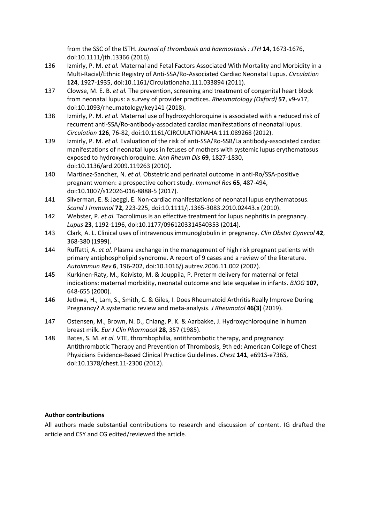from the SSC of the ISTH. *Journal of thrombosis and haemostasis : JTH* **14**, 1673-1676, doi:10.1111/jth.13366 (2016).

- 136 Izmirly, P. M. *et al.* Maternal and Fetal Factors Associated With Mortality and Morbidity in a Multi-Racial/Ethnic Registry of Anti-SSA/Ro-Associated Cardiac Neonatal Lupus. *Circulation* **124**, 1927-1935, doi:10.1161/Circulationaha.111.033894 (2011).
- 137 Clowse, M. E. B. *et al.* The prevention, screening and treatment of congenital heart block from neonatal lupus: a survey of provider practices. *Rheumatology (Oxford)* **57**, v9-v17, doi:10.1093/rheumatology/key141 (2018).
- 138 Izmirly, P. M. *et al.* Maternal use of hydroxychloroquine is associated with a reduced risk of recurrent anti-SSA/Ro-antibody-associated cardiac manifestations of neonatal lupus. *Circulation* **126**, 76-82, doi:10.1161/CIRCULATIONAHA.111.089268 (2012).
- 139 Izmirly, P. M. *et al.* Evaluation of the risk of anti-SSA/Ro-SSB/La antibody-associated cardiac manifestations of neonatal lupus in fetuses of mothers with systemic lupus erythematosus exposed to hydroxychloroquine. *Ann Rheum Dis* **69**, 1827-1830, doi:10.1136/ard.2009.119263 (2010).
- 140 Martinez-Sanchez, N. *et al.* Obstetric and perinatal outcome in anti-Ro/SSA-positive pregnant women: a prospective cohort study. *Immunol Res* **65**, 487-494, doi:10.1007/s12026-016-8888-5 (2017).
- 141 Silverman, E. & Jaeggi, E. Non-cardiac manifestations of neonatal lupus erythematosus. *Scand J Immunol* **72**, 223-225, doi:10.1111/j.1365-3083.2010.02443.x (2010).
- 142 Webster, P. *et al.* Tacrolimus is an effective treatment for lupus nephritis in pregnancy. *Lupus* **23**, 1192-1196, doi:10.1177/0961203314540353 (2014).
- 143 Clark, A. L. Clinical uses of intravenous immunoglobulin in pregnancy. *Clin Obstet Gynecol* **42**, 368-380 (1999).
- 144 Ruffatti, A. *et al.* Plasma exchange in the management of high risk pregnant patients with primary antiphospholipid syndrome. A report of 9 cases and a review of the literature. *Autoimmun Rev* **6**, 196-202, doi:10.1016/j.autrev.2006.11.002 (2007).
- 145 Kurkinen-Raty, M., Koivisto, M. & Jouppila, P. Preterm delivery for maternal or fetal indications: maternal morbidity, neonatal outcome and late sequelae in infants. *BJOG* **107**, 648-655 (2000).
- 146 Jethwa, H., Lam, S., Smith, C. & Giles, I. Does Rheumatoid Arthritis Really Improve During Pregnancy? A systematic review and meta-analysis. *J Rheumatol* **46(3)** (2019).
- 147 Ostensen, M., Brown, N. D., Chiang, P. K. & Aarbakke, J. Hydroxychloroquine in human breast milk. *Eur J Clin Pharmacol* **28**, 357 (1985).
- 148 Bates, S. M. *et al.* VTE, thrombophilia, antithrombotic therapy, and pregnancy: Antithrombotic Therapy and Prevention of Thrombosis, 9th ed: American College of Chest Physicians Evidence-Based Clinical Practice Guidelines. *Chest* **141**, e691S-e736S, doi:10.1378/chest.11-2300 (2012).

# **Author contributions**

All authors made substantial contributions to research and discussion of content. IG drafted the article and CSY and CG edited/reviewed the article.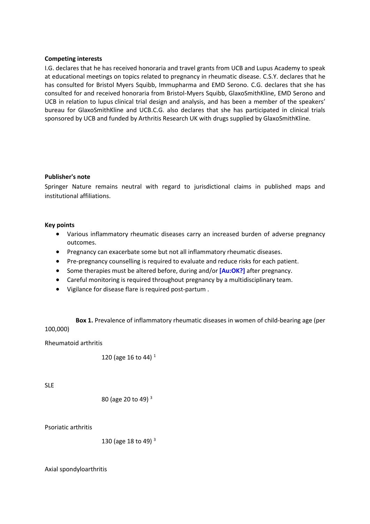## **Competing interests**

I.G. declares that he has received honoraria and travel grants from UCB and Lupus Academy to speak at educational meetings on topics related to pregnancy in rheumatic disease. C.S.Y. declares that he has consulted for Bristol Myers Squibb, Immupharma and EMD Serono. C.G. declares that she has consulted for and received honoraria from Bristol-Myers Squibb, GlaxoSmithKline, EMD Serono and UCB in relation to lupus clinical trial design and analysis, and has been a member of the speakers' bureau for GlaxoSmithKline and UCB.C.G. also declares that she has participated in clinical trials sponsored by UCB and funded by Arthritis Research UK with drugs supplied by GlaxoSmithKline.

## **Publisher's note**

Springer Nature remains neutral with regard to jurisdictional claims in published maps and institutional affiliations.

## **Key points**

- Various inflammatory rheumatic diseases carry an increased burden of adverse pregnancy outcomes.
- Pregnancy can exacerbate some but not all inflammatory rheumatic diseases.
- Pre-pregnancy counselling is required to evaluate and reduce risks for each patient.
- **Some therapies must be altered before, during and/or [Au:OK?] after pregnancy.**
- Careful monitoring is required throughout pregnancy by a multidisciplinary team.
- Vigilance for disease flare is required post-partum .

**Box 1.** Prevalence of inflammatory rheumatic diseases in women of child-bearing age (per 100,000)

Rheumatoid arthritis

120 (age 16 to 44) <sup>1</sup>

SLE

80 (age 20 to 49) 
$$
^3
$$

Psoriatic arthritis

130 (age 18 to 49) <sup>3</sup>

Axial spondyloarthritis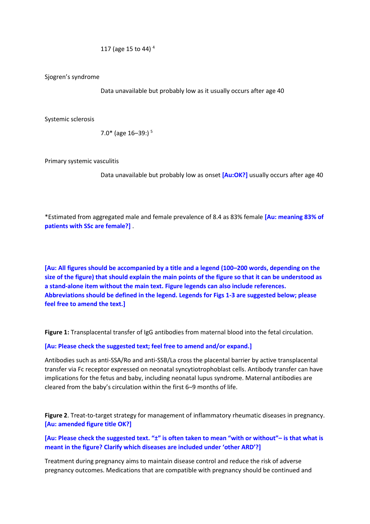117 (age 15 to 44) <sup>4</sup>

Sjogren's syndrome

Data unavailable but probably low as it usually occurs after age 40

Systemic sclerosis

7.0\* (age  $16-39$ :)<sup>5</sup>

Primary systemic vasculitis

Data unavailable but probably low as onset **[Au:OK?]** usually occurs after age 40

\*Estimated from aggregated male and female prevalence of 8.4 as 83% female **[Au: meaning 83% of patients with SSc are female?]** .

**[Au: All figures should be accompanied by a title and a legend (100–200 words, depending on the size of the figure) that should explain the main points of the figure so that it can be understood as a stand-alone item without the main text. Figure legends can also include references. Abbreviations should be defined in the legend. Legends for Figs 1-3 are suggested below; please feel free to amend the text.]**

**Figure 1:** Transplacental transfer of IgG antibodies from maternal blood into the fetal circulation.

**[Au: Please check the suggested text; feel free to amend and/or expand.]**

Antibodies such as anti-SSA/Ro and anti-SSB/La cross the placental barrier by active transplacental transfer via Fc receptor expressed on neonatal syncytiotrophoblast cells. Antibody transfer can have implications for the fetus and baby, including neonatal lupus syndrome. Maternal antibodies are cleared from the baby's circulation within the first 6–9 months of life.

**Figure 2**. Treat-to-target strategy for management of inflammatory rheumatic diseases in pregnancy. **[Au: amended figure title OK?]**

**[Au: Please check the suggested text. "±" is often taken to mean "with or without"– is that what is meant in the figure? Clarify which diseases are included under 'other ARD'?]**

Treatment during pregnancy aims to maintain disease control and reduce the risk of adverse pregnancy outcomes. Medications that are compatible with pregnancy should be continued and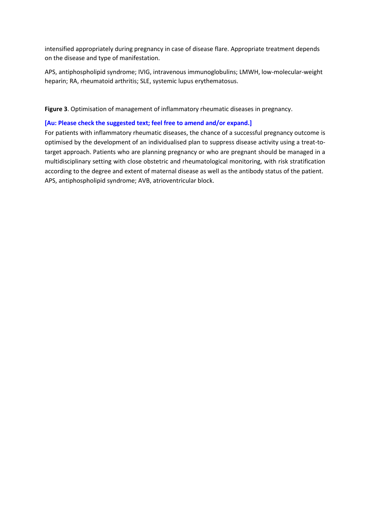intensified appropriately during pregnancy in case of disease flare. Appropriate treatment depends on the disease and type of manifestation.

APS, antiphospholipid syndrome; IVIG, intravenous immunoglobulins; LMWH, low-molecular-weight heparin; RA, rheumatoid arthritis; SLE, systemic lupus erythematosus.

**Figure 3**. Optimisation of management of inflammatory rheumatic diseases in pregnancy.

### **[Au: Please check the suggested text; feel free to amend and/or expand.]**

For patients with inflammatory rheumatic diseases, the chance of a successful pregnancy outcome is optimised by the development of an individualised plan to suppress disease activity using a treat-totarget approach. Patients who are planning pregnancy or who are pregnant should be managed in a multidisciplinary setting with close obstetric and rheumatological monitoring, with risk stratification according to the degree and extent of maternal disease as well as the antibody status of the patient. APS, antiphospholipid syndrome; AVB, atrioventricular block.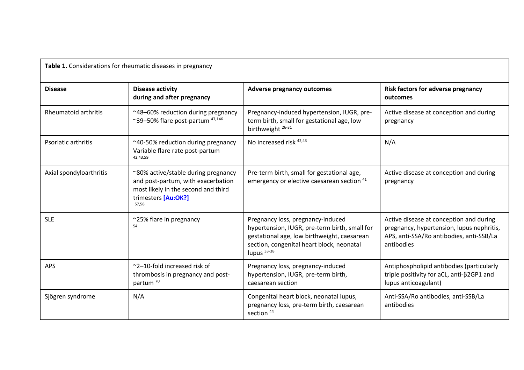| Table 1. Considerations for rheumatic diseases in pregnancy |                                                                                                                                                  |                                                                                                                                                                                                 |                                                                                                                                                |
|-------------------------------------------------------------|--------------------------------------------------------------------------------------------------------------------------------------------------|-------------------------------------------------------------------------------------------------------------------------------------------------------------------------------------------------|------------------------------------------------------------------------------------------------------------------------------------------------|
| <b>Disease</b>                                              | <b>Disease activity</b><br>during and after pregnancy                                                                                            | <b>Adverse pregnancy outcomes</b>                                                                                                                                                               | Risk factors for adverse pregnancy<br>outcomes                                                                                                 |
| <b>Rheumatoid arthritis</b>                                 | ~48-60% reduction during pregnancy<br>~39-50% flare post-partum <sup>47,146</sup>                                                                | Pregnancy-induced hypertension, IUGR, pre-<br>term birth, small for gestational age, low<br>birthweight <sup>26-31</sup>                                                                        | Active disease at conception and during<br>pregnancy                                                                                           |
| Psoriatic arthritis                                         | ~40-50% reduction during pregnancy<br>Variable flare rate post-partum<br>42,43,59                                                                | No increased risk <sup>42,43</sup>                                                                                                                                                              | N/A                                                                                                                                            |
| Axial spondyloarthritis                                     | ~80% active/stable during pregnancy<br>and post-partum, with exacerbation<br>most likely in the second and third<br>trimesters [Au:OK?]<br>57,58 | Pre-term birth, small for gestational age,<br>emergency or elective caesarean section <sup>41</sup>                                                                                             | Active disease at conception and during<br>pregnancy                                                                                           |
| <b>SLE</b>                                                  | ~25% flare in pregnancy<br>54                                                                                                                    | Pregnancy loss, pregnancy-induced<br>hypertension, IUGR, pre-term birth, small for<br>gestational age, low birthweight, caesarean<br>section, congenital heart block, neonatal<br>lupus $33-38$ | Active disease at conception and during<br>pregnancy, hypertension, lupus nephritis,<br>APS, anti-SSA/Ro antibodies, anti-SSB/La<br>antibodies |
| <b>APS</b>                                                  | $\approx$ 2–10-fold increased risk of<br>thrombosis in pregnancy and post-<br>partum <sup>70</sup>                                               | Pregnancy loss, pregnancy-induced<br>hypertension, IUGR, pre-term birth,<br>caesarean section                                                                                                   | Antiphospholipid antibodies (particularly<br>triple positivity for aCL, anti- $\beta$ 2GP1 and<br>lupus anticoagulant)                         |
| Sjögren syndrome                                            | N/A                                                                                                                                              | Congenital heart block, neonatal lupus,<br>pregnancy loss, pre-term birth, caesarean<br>section <sup>44</sup>                                                                                   | Anti-SSA/Ro antibodies, anti-SSB/La<br>antibodies                                                                                              |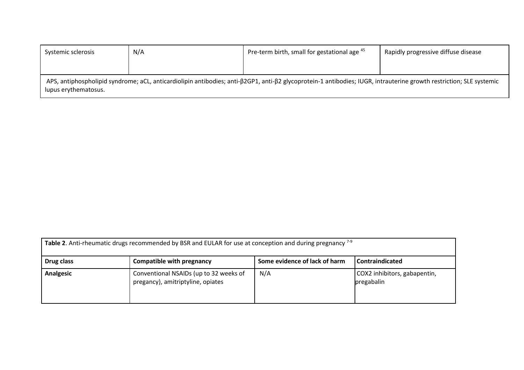| Systemic sclerosis                                                                                                                                                                                          | N/A | Pre-term birth, small for gestational age 45 | Rapidly progressive diffuse disease |
|-------------------------------------------------------------------------------------------------------------------------------------------------------------------------------------------------------------|-----|----------------------------------------------|-------------------------------------|
|                                                                                                                                                                                                             |     |                                              |                                     |
| APS, antiphospholipid syndrome; aCL, anticardiolipin antibodies; anti- $\beta$ 2GP1, anti- $\beta$ 2 glycoprotein-1 antibodies; IUGR, intrauterine growth restriction; SLE systemic<br>lupus erythematosus. |     |                                              |                                     |

| Table 2. Anti-rheumatic drugs recommended by BSR and EULAR for use at conception and during pregnancy $7-9$ |                                                                             |     |                                            |  |
|-------------------------------------------------------------------------------------------------------------|-----------------------------------------------------------------------------|-----|--------------------------------------------|--|
| Some evidence of lack of harm<br><b>Compatible with pregnancy</b><br>  Contraindicated<br>Drug class        |                                                                             |     |                                            |  |
| Analgesic                                                                                                   | Conventional NSAIDs (up to 32 weeks of<br>pregancy), amitriptyline, opiates | N/A | COX2 inhibitors, gabapentin,<br>pregabalin |  |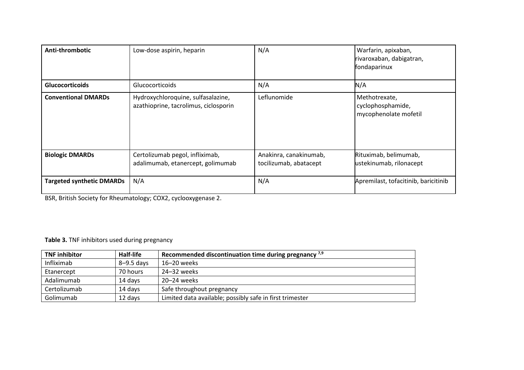| Anti-thrombotic                  | Low-dose aspirin, heparin                                                   | N/A                                              | Warfarin, apixaban,<br>rivaroxaban, dabigatran,<br>fondaparinux |
|----------------------------------|-----------------------------------------------------------------------------|--------------------------------------------------|-----------------------------------------------------------------|
| <b>Glucocorticoids</b>           | Glucocorticoids                                                             | N/A                                              | N/A                                                             |
| <b>Conventional DMARDs</b>       | Hydroxychloroquine, sulfasalazine,<br>azathioprine, tacrolimus, ciclosporin | Leflunomide                                      | Methotrexate,<br>cyclophosphamide,<br>mycophenolate mofetil     |
| <b>Biologic DMARDs</b>           | Certolizumab pegol, infliximab,<br>adalimumab, etanercept, golimumab        | Anakinra, canakinumab,<br>tocilizumab, abatacept | Rituximab, belimumab,<br>ustekinumab, rilonacept                |
| <b>Targeted synthetic DMARDs</b> | N/A                                                                         | N/A                                              | Apremilast, tofacitinib, baricitinib                            |

BSR, British Society for Rheumatology; COX2, cyclooxygenase 2.

# **Table 3.** TNF inhibitors used during pregnancy

| <b>TNF inhibitor</b> | <b>Half-life</b> | Recommended discontinuation time during pregnancy $^{7,9}$ |
|----------------------|------------------|------------------------------------------------------------|
| Infliximab           | 8-9.5 days       | 16-20 weeks                                                |
| Etanercept           | 70 hours         | 24–32 weeks                                                |
| Adalimumab           | 14 days          | 20–24 weeks                                                |
| Certolizumab         | 14 days          | Safe throughout pregnancy                                  |
| Golimumab            | 12 days          | Limited data available; possibly safe in first trimester   |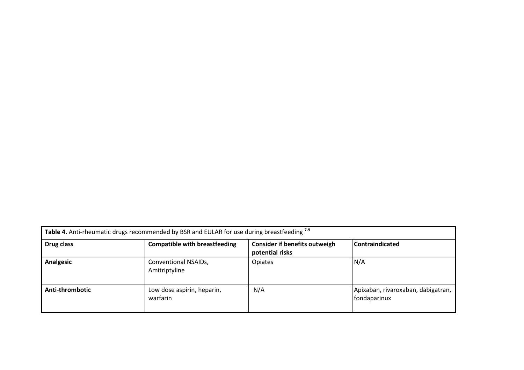| Table 4. Anti-rheumatic drugs recommended by BSR and EULAR for use during breastfeeding 7-9 |                                        |                                                         |                                                    |
|---------------------------------------------------------------------------------------------|----------------------------------------|---------------------------------------------------------|----------------------------------------------------|
| Drug class                                                                                  | <b>Compatible with breastfeeding</b>   | <b>Consider if benefits outweigh</b><br>potential risks | <b>Contraindicated</b>                             |
| <b>Analgesic</b>                                                                            | Conventional NSAIDs,<br>Amitriptyline  | Opiates                                                 | N/A                                                |
| Anti-thrombotic                                                                             | Low dose aspirin, heparin,<br>warfarin | N/A                                                     | Apixaban, rivaroxaban, dabigatran,<br>fondaparinux |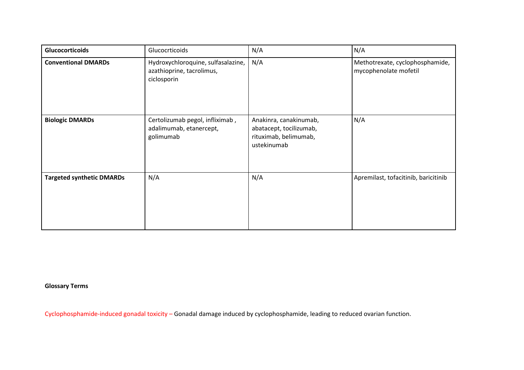| <b>Glucocorticoids</b>           | Glucocrticoids                                                                 | N/A                                                                                       | N/A                                                      |
|----------------------------------|--------------------------------------------------------------------------------|-------------------------------------------------------------------------------------------|----------------------------------------------------------|
| <b>Conventional DMARDs</b>       | Hydroxychloroquine, sulfasalazine,<br>azathioprine, tacrolimus,<br>ciclosporin | N/A                                                                                       | Methotrexate, cyclophosphamide,<br>mycophenolate mofetil |
| <b>Biologic DMARDs</b>           | Certolizumab pegol, infliximab,<br>adalimumab, etanercept,<br>golimumab        | Anakinra, canakinumab,<br>abatacept, tocilizumab,<br>rituximab, belimumab,<br>ustekinumab | N/A                                                      |
| <b>Targeted synthetic DMARDs</b> | N/A                                                                            | N/A                                                                                       | Apremilast, tofacitinib, baricitinib                     |

**Glossary Terms**

Cyclophosphamide-induced gonadal toxicity – Gonadal damage induced by cyclophosphamide, leading to reduced ovarian function.